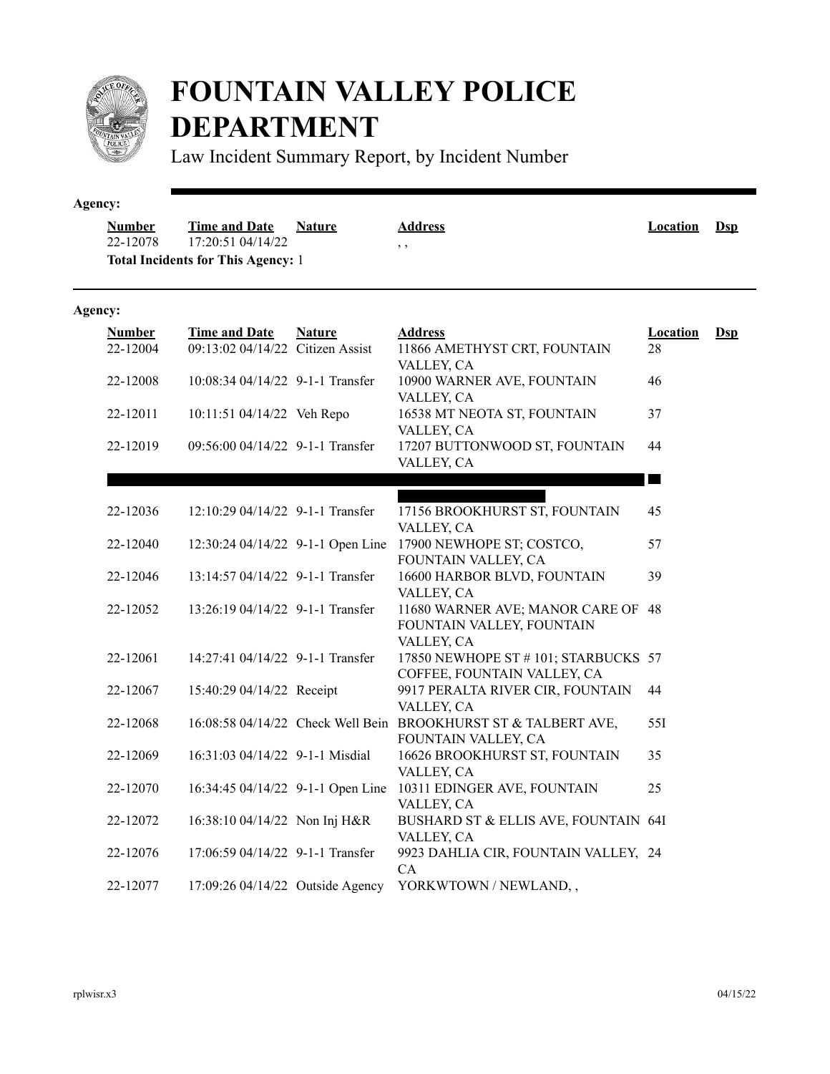

## **FOUNTAIN VALLEY POLICE DEPARTMENT**

Law Incident Summary Report, by Incident Number

| Agency:                   |                                                                                        |               |                                                                                       |                          |                |
|---------------------------|----------------------------------------------------------------------------------------|---------------|---------------------------------------------------------------------------------------|--------------------------|----------------|
| <b>Number</b><br>22-12078 | <b>Time and Date</b><br>17:20:51 04/14/22<br><b>Total Incidents for This Agency: 1</b> | <b>Nature</b> | <b>Address</b><br>$, \, ,$                                                            | <b>Location</b>          | $\mathbf{Dsp}$ |
| Agency:                   |                                                                                        |               |                                                                                       |                          |                |
| <b>Number</b><br>22-12004 | <b>Time and Date</b><br>09:13:02 04/14/22 Citizen Assist                               | <b>Nature</b> | <b>Address</b><br>11866 AMETHYST CRT, FOUNTAIN<br>VALLEY, CA                          | <b>Location</b><br>28    | $Dsp$          |
| 22-12008                  | $10:08:3404/14/22$ 9-1-1 Transfer                                                      |               | 10900 WARNER AVE, FOUNTAIN<br>VALLEY, CA                                              | 46                       |                |
| 22-12011                  | 10:11:51 04/14/22 Veh Repo                                                             |               | 16538 MT NEOTA ST, FOUNTAIN<br>VALLEY, CA                                             | 37                       |                |
| 22-12019                  | 09:56:00 04/14/22 9-1-1 Transfer                                                       |               | 17207 BUTTONWOOD ST, FOUNTAIN<br>VALLEY, CA                                           | 44                       |                |
|                           |                                                                                        |               |                                                                                       | <b>The Second Second</b> |                |
| 22-12036                  | 12:10:29 04/14/22 9-1-1 Transfer                                                       |               | 17156 BROOKHURST ST, FOUNTAIN<br>VALLEY, CA                                           | 45                       |                |
| 22-12040                  | 12:30:24 04/14/22 9-1-1 Open Line                                                      |               | 17900 NEWHOPE ST; COSTCO,<br>FOUNTAIN VALLEY, CA                                      | 57                       |                |
| 22-12046                  | 13:14:57 04/14/22 9-1-1 Transfer                                                       |               | 16600 HARBOR BLVD, FOUNTAIN<br>VALLEY, CA                                             | 39                       |                |
| 22-12052                  | 13:26:19 04/14/22 9-1-1 Transfer                                                       |               | 11680 WARNER AVE; MANOR CARE OF 48<br>FOUNTAIN VALLEY, FOUNTAIN<br>VALLEY, CA         |                          |                |
| 22-12061                  | 14:27:41 04/14/22 9-1-1 Transfer                                                       |               | 17850 NEWHOPE ST # 101; STARBUCKS 57<br>COFFEE, FOUNTAIN VALLEY, CA                   |                          |                |
| 22-12067                  | 15:40:29 04/14/22 Receipt                                                              |               | 9917 PERALTA RIVER CIR, FOUNTAIN<br>VALLEY, CA                                        | 44                       |                |
| 22-12068                  |                                                                                        |               | 16:08:58 04/14/22 Check Well Bein BROOKHURST ST & TALBERT AVE,<br>FOUNTAIN VALLEY, CA | 55I                      |                |
| 22-12069                  | 16:31:03 04/14/22 9-1-1 Misdial                                                        |               | 16626 BROOKHURST ST, FOUNTAIN<br>VALLEY, CA                                           | 35                       |                |
| 22-12070                  | 16:34:45 04/14/22 9-1-1 Open Line                                                      |               | 10311 EDINGER AVE, FOUNTAIN<br>VALLEY, CA                                             | 25                       |                |
| 22-12072                  | 16:38:10 04/14/22 Non Inj H&R                                                          |               | BUSHARD ST & ELLIS AVE, FOUNTAIN 64I<br>VALLEY, CA                                    |                          |                |
| 22-12076                  | 17:06:59 04/14/22 9-1-1 Transfer                                                       |               | 9923 DAHLIA CIR, FOUNTAIN VALLEY, 24<br>CA                                            |                          |                |
| 22-12077                  | 17:09:26 04/14/22 Outside Agency                                                       |               | YORKWTOWN / NEWLAND,,                                                                 |                          |                |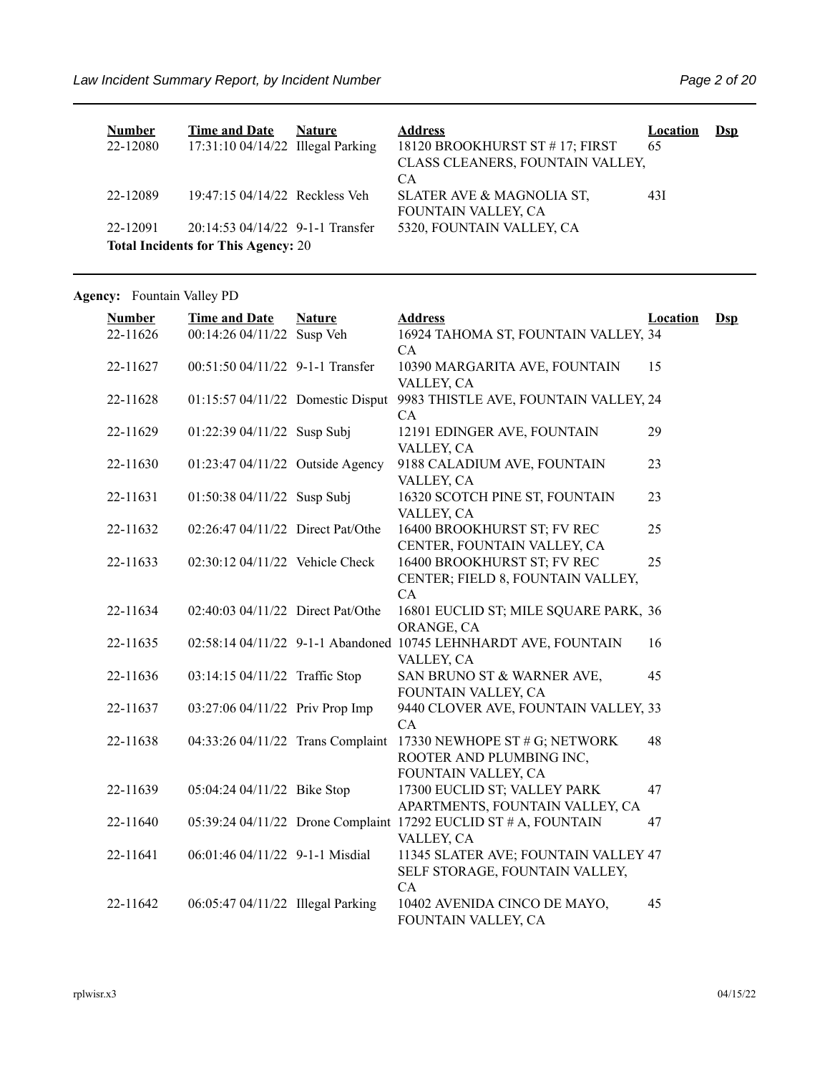| <b>Number</b>                              | Time and Date                      | <b>Nature</b> | <b>Address</b>                   | <b>Location</b> | $\mathbf{Dsp}$ |  |  |
|--------------------------------------------|------------------------------------|---------------|----------------------------------|-----------------|----------------|--|--|
| 22-12080                                   | $17:31:1004/14/22$ Illegal Parking |               | 18120 BROOKHURST ST #17; FIRST   | 65              |                |  |  |
|                                            |                                    |               | CLASS CLEANERS, FOUNTAIN VALLEY, |                 |                |  |  |
|                                            |                                    |               | CA                               |                 |                |  |  |
| 22-12089                                   | 19:47:15 04/14/22 Reckless Veh     |               | SLATER AVE & MAGNOLIA ST,        | 43I             |                |  |  |
|                                            |                                    |               | FOUNTAIN VALLEY, CA              |                 |                |  |  |
| 22-12091                                   | 20:14:53 04/14/22 9-1-1 Transfer   |               | 5320, FOUNTAIN VALLEY, CA        |                 |                |  |  |
| <b>Total Incidents for This Agency: 20</b> |                                    |               |                                  |                 |                |  |  |

Agency: Fountain Valley PD

| <b>Number</b> | <b>Time and Date</b>              | <b>Nature</b> | <b>Address</b>                                                                   | <b>Location</b> | $\mathbf{Dsp}$ |
|---------------|-----------------------------------|---------------|----------------------------------------------------------------------------------|-----------------|----------------|
| 22-11626      | 00:14:26 04/11/22 Susp Veh        |               | 16924 TAHOMA ST, FOUNTAIN VALLEY, 34<br>CA                                       |                 |                |
| 22-11627      | 00:51:50 04/11/22 9-1-1 Transfer  |               | 10390 MARGARITA AVE, FOUNTAIN<br>VALLEY, CA                                      | 15              |                |
| 22-11628      | 01:15:57 04/11/22 Domestic Disput |               | 9983 THISTLE AVE, FOUNTAIN VALLEY, 24<br>CA                                      |                 |                |
| 22-11629      | 01:22:39 04/11/22 Susp Subj       |               | 12191 EDINGER AVE, FOUNTAIN<br>VALLEY, CA                                        | 29              |                |
| 22-11630      | 01:23:47 04/11/22 Outside Agency  |               | 9188 CALADIUM AVE, FOUNTAIN<br>VALLEY, CA                                        | 23              |                |
| 22-11631      | 01:50:38 04/11/22 Susp Subj       |               | 16320 SCOTCH PINE ST, FOUNTAIN<br>VALLEY, CA                                     | 23              |                |
| 22-11632      | 02:26:47 04/11/22 Direct Pat/Othe |               | 16400 BROOKHURST ST; FV REC<br>CENTER, FOUNTAIN VALLEY, CA                       | 25              |                |
| 22-11633      | 02:30:12 04/11/22 Vehicle Check   |               | 16400 BROOKHURST ST; FV REC<br>CENTER; FIELD 8, FOUNTAIN VALLEY,                 | 25              |                |
| 22-11634      | 02:40:03 04/11/22 Direct Pat/Othe |               | CA<br>16801 EUCLID ST; MILE SQUARE PARK, 36<br>ORANGE, CA                        |                 |                |
| 22-11635      |                                   |               | 02:58:14 04/11/22 9-1-1 Abandoned 10745 LEHNHARDT AVE, FOUNTAIN<br>VALLEY, CA    | 16              |                |
| 22-11636      | 03:14:15 04/11/22 Traffic Stop    |               | SAN BRUNO ST & WARNER AVE,<br>FOUNTAIN VALLEY, CA                                | 45              |                |
| 22-11637      | 03:27:06 04/11/22 Priv Prop Imp   |               | 9440 CLOVER AVE, FOUNTAIN VALLEY, 33<br>CA                                       |                 |                |
| 22-11638      | 04:33:26 04/11/22 Trans Complaint |               | 17330 NEWHOPE ST # G; NETWORK<br>ROOTER AND PLUMBING INC,<br>FOUNTAIN VALLEY, CA | 48              |                |
| 22-11639      | 05:04:24 04/11/22 Bike Stop       |               | 17300 EUCLID ST; VALLEY PARK<br>APARTMENTS, FOUNTAIN VALLEY, CA                  | 47              |                |
| 22-11640      |                                   |               | 05:39:24 04/11/22 Drone Complaint 17292 EUCLID ST # A, FOUNTAIN<br>VALLEY, CA    | 47              |                |
| 22-11641      | 06:01:46 04/11/22 9-1-1 Misdial   |               | 11345 SLATER AVE; FOUNTAIN VALLEY 47<br>SELF STORAGE, FOUNTAIN VALLEY,<br>CA     |                 |                |
| 22-11642      | 06:05:47 04/11/22 Illegal Parking |               | 10402 AVENIDA CINCO DE MAYO,<br>FOUNTAIN VALLEY, CA                              | 45              |                |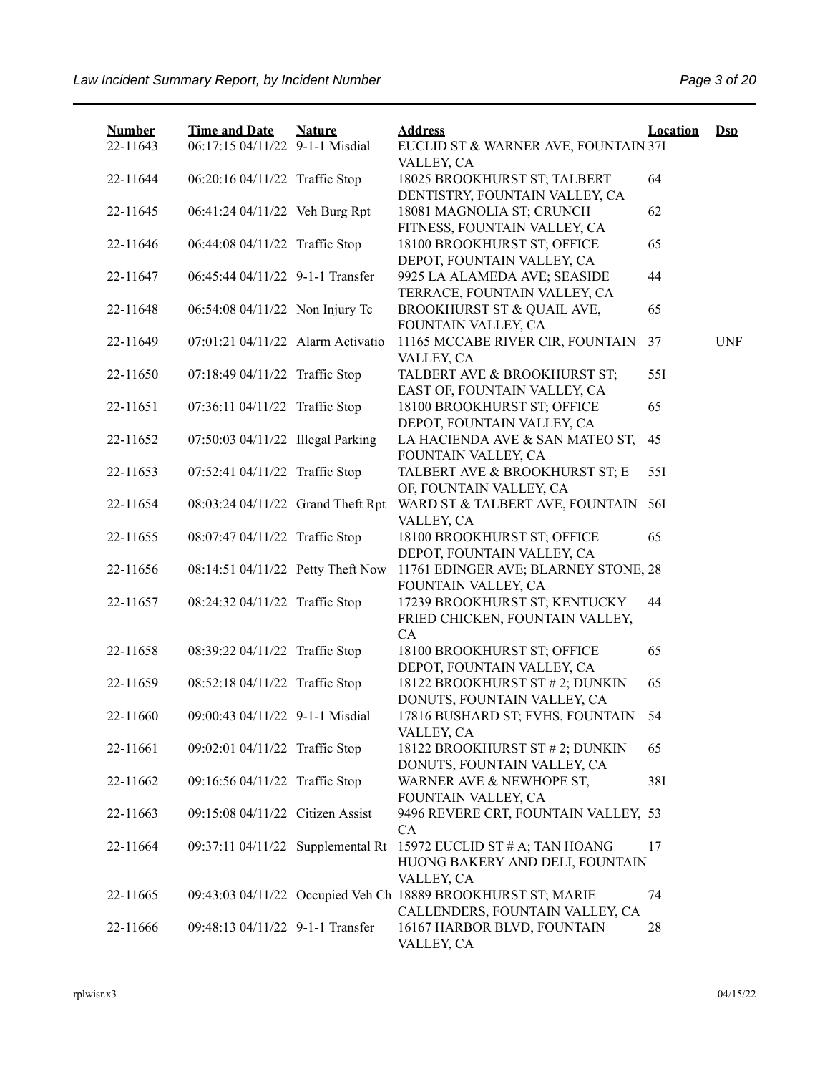| <b>Number</b><br>22-11643 | <b>Time and Date</b><br>06:17:15 04/11/22 9-1-1 Misdial | <b>Nature</b> | <b>Address</b><br>EUCLID ST & WARNER AVE, FOUNTAIN 37I                                          | <b>Location</b> | $\mathbf{Dsp}$ |
|---------------------------|---------------------------------------------------------|---------------|-------------------------------------------------------------------------------------------------|-----------------|----------------|
| 22-11644                  | 06:20:16 04/11/22 Traffic Stop                          |               | VALLEY, CA<br>18025 BROOKHURST ST; TALBERT<br>DENTISTRY, FOUNTAIN VALLEY, CA                    | 64              |                |
| 22-11645                  | 06:41:24 04/11/22 Veh Burg Rpt                          |               | 18081 MAGNOLIA ST; CRUNCH<br>FITNESS, FOUNTAIN VALLEY, CA                                       | 62              |                |
| 22-11646                  | 06:44:08 04/11/22 Traffic Stop                          |               | 18100 BROOKHURST ST; OFFICE<br>DEPOT, FOUNTAIN VALLEY, CA                                       | 65              |                |
| 22-11647                  | 06:45:44 04/11/22 9-1-1 Transfer                        |               | 9925 LA ALAMEDA AVE; SEASIDE<br>TERRACE, FOUNTAIN VALLEY, CA                                    | 44              |                |
| 22-11648                  | 06:54:08 04/11/22 Non Injury Tc                         |               | BROOKHURST ST & QUAIL AVE,<br>FOUNTAIN VALLEY, CA                                               | 65              |                |
| 22-11649                  | 07:01:21 04/11/22 Alarm Activatio                       |               | 11165 MCCABE RIVER CIR, FOUNTAIN<br>VALLEY, CA                                                  | 37              | <b>UNF</b>     |
| 22-11650                  | 07:18:49 04/11/22 Traffic Stop                          |               | TALBERT AVE & BROOKHURST ST;<br>EAST OF, FOUNTAIN VALLEY, CA                                    | 55I             |                |
| 22-11651                  | 07:36:11 04/11/22 Traffic Stop                          |               | 18100 BROOKHURST ST; OFFICE<br>DEPOT, FOUNTAIN VALLEY, CA                                       | 65              |                |
| 22-11652                  | 07:50:03 04/11/22 Illegal Parking                       |               | LA HACIENDA AVE & SAN MATEO ST,<br>FOUNTAIN VALLEY, CA                                          | 45              |                |
| 22-11653                  | 07:52:41 04/11/22 Traffic Stop                          |               | TALBERT AVE & BROOKHURST ST; E<br>OF, FOUNTAIN VALLEY, CA                                       | 551             |                |
| 22-11654                  | 08:03:24 04/11/22 Grand Theft Rpt                       |               | WARD ST & TALBERT AVE, FOUNTAIN<br>VALLEY, CA                                                   | 56I             |                |
| 22-11655                  | 08:07:47 04/11/22 Traffic Stop                          |               | 18100 BROOKHURST ST; OFFICE<br>DEPOT, FOUNTAIN VALLEY, CA                                       | 65              |                |
| 22-11656                  | 08:14:51 04/11/22 Petty Theft Now                       |               | 11761 EDINGER AVE; BLARNEY STONE, 28<br>FOUNTAIN VALLEY, CA                                     |                 |                |
| 22-11657                  | 08:24:32 04/11/22 Traffic Stop                          |               | 17239 BROOKHURST ST; KENTUCKY<br>FRIED CHICKEN, FOUNTAIN VALLEY,<br>CA                          | 44              |                |
| 22-11658                  | 08:39:22 04/11/22 Traffic Stop                          |               | 18100 BROOKHURST ST; OFFICE<br>DEPOT, FOUNTAIN VALLEY, CA                                       | 65              |                |
| 22-11659                  | 08:52:18 04/11/22 Traffic Stop                          |               | 18122 BROOKHURST ST # 2; DUNKIN<br>DONUTS, FOUNTAIN VALLEY, CA                                  | 65              |                |
| 22-11660                  | 09:00:43 04/11/22 9-1-1 Misdial                         |               | 17816 BUSHARD ST; FVHS, FOUNTAIN<br>VALLEY, CA                                                  | 54              |                |
| 22-11661                  | 09:02:01 04/11/22 Traffic Stop                          |               | 18122 BROOKHURST ST # 2; DUNKIN<br>DONUTS, FOUNTAIN VALLEY, CA                                  | 65              |                |
| 22-11662                  | 09:16:56 04/11/22 Traffic Stop                          |               | WARNER AVE & NEWHOPE ST,<br>FOUNTAIN VALLEY, CA                                                 | 38I             |                |
| 22-11663                  | 09:15:08 04/11/22 Citizen Assist                        |               | 9496 REVERE CRT, FOUNTAIN VALLEY, 53<br>CA                                                      |                 |                |
| 22-11664                  | 09:37:11 04/11/22 Supplemental Rt                       |               | 15972 EUCLID ST # A; TAN HOANG<br>HUONG BAKERY AND DELI, FOUNTAIN<br>VALLEY, CA                 | 17              |                |
| 22-11665                  |                                                         |               | 09:43:03 04/11/22 Occupied Veh Ch 18889 BROOKHURST ST; MARIE<br>CALLENDERS, FOUNTAIN VALLEY, CA | 74              |                |
| 22-11666                  | 09:48:13 04/11/22 9-1-1 Transfer                        |               | 16167 HARBOR BLVD, FOUNTAIN<br>VALLEY, CA                                                       | 28              |                |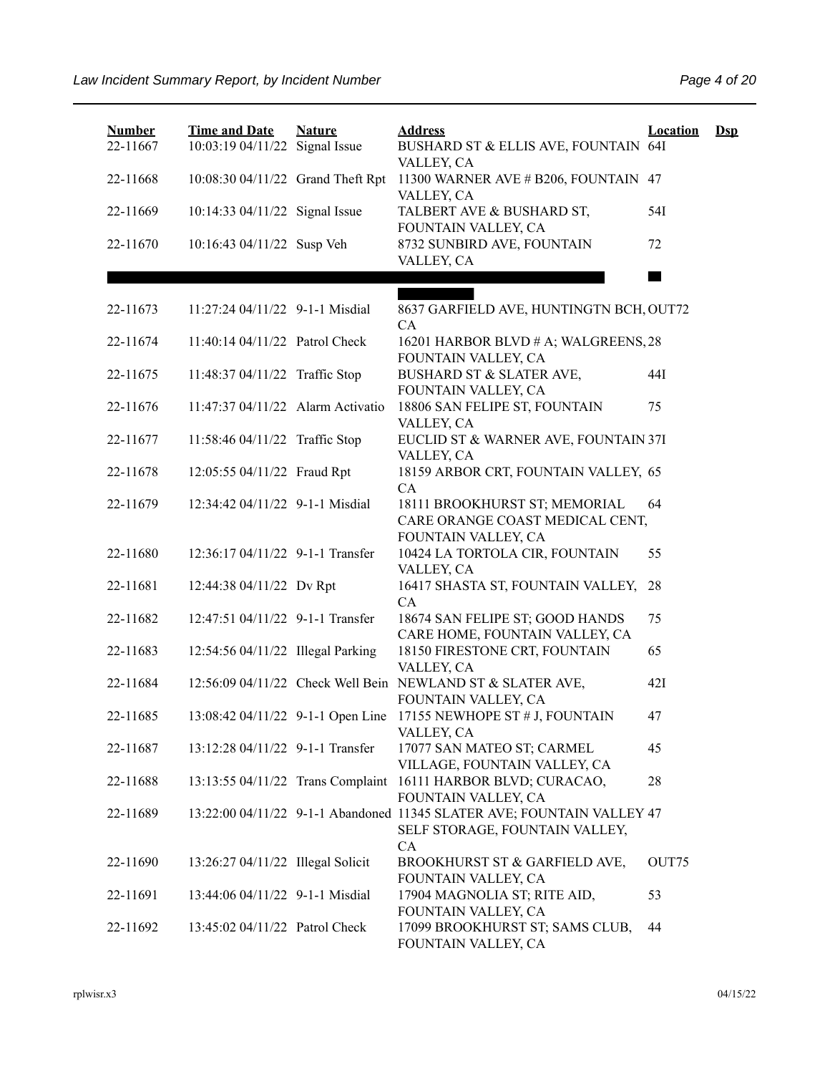| <b>Number</b><br>22-11667 | <b>Time and Date</b><br>10:03:19 04/11/22 Signal Issue | <b>Nature</b> | <b>Address</b><br>BUSHARD ST & ELLIS AVE, FOUNTAIN 64I                                                         | <b>Location</b>   | $\mathbf{Dsp}$ |
|---------------------------|--------------------------------------------------------|---------------|----------------------------------------------------------------------------------------------------------------|-------------------|----------------|
| 22-11668                  | 10:08:30 04/11/22 Grand Theft Rpt                      |               | VALLEY, CA<br>11300 WARNER AVE # B206, FOUNTAIN 47                                                             |                   |                |
|                           |                                                        |               | VALLEY, CA                                                                                                     |                   |                |
| 22-11669                  | 10:14:33 04/11/22 Signal Issue                         |               | TALBERT AVE & BUSHARD ST,                                                                                      | 54I               |                |
| 22-11670                  | 10:16:43 04/11/22 Susp Veh                             |               | FOUNTAIN VALLEY, CA<br>8732 SUNBIRD AVE, FOUNTAIN<br>VALLEY, CA                                                | 72                |                |
|                           |                                                        |               |                                                                                                                |                   |                |
| 22-11673                  | 11:27:24 04/11/22 9-1-1 Misdial                        |               | 8637 GARFIELD AVE, HUNTINGTN BCH, OUT72<br>CA                                                                  |                   |                |
| 22-11674                  | 11:40:14 04/11/22 Patrol Check                         |               | 16201 HARBOR BLVD # A; WALGREENS, 28<br>FOUNTAIN VALLEY, CA                                                    |                   |                |
| 22-11675                  | 11:48:37 04/11/22 Traffic Stop                         |               | BUSHARD ST & SLATER AVE,<br>FOUNTAIN VALLEY, CA                                                                | 44I               |                |
| 22-11676                  | 11:47:37 04/11/22 Alarm Activatio                      |               | 18806 SAN FELIPE ST, FOUNTAIN<br>VALLEY, CA                                                                    | 75                |                |
| 22-11677                  | 11:58:46 04/11/22 Traffic Stop                         |               | EUCLID ST & WARNER AVE, FOUNTAIN 37I<br>VALLEY, CA                                                             |                   |                |
| 22-11678                  | 12:05:55 04/11/22 Fraud Rpt                            |               | 18159 ARBOR CRT, FOUNTAIN VALLEY, 65<br>CA                                                                     |                   |                |
| 22-11679                  | 12:34:42 04/11/22 9-1-1 Misdial                        |               | 18111 BROOKHURST ST; MEMORIAL<br>CARE ORANGE COAST MEDICAL CENT,<br>FOUNTAIN VALLEY, CA                        | 64                |                |
| 22-11680                  | 12:36:17 04/11/22 9-1-1 Transfer                       |               | 10424 LA TORTOLA CIR, FOUNTAIN<br>VALLEY, CA                                                                   | 55                |                |
| 22-11681                  | 12:44:38 04/11/22 Dv Rpt                               |               | 16417 SHASTA ST, FOUNTAIN VALLEY,<br>CA                                                                        | 28                |                |
| 22-11682                  | 12:47:51 04/11/22 9-1-1 Transfer                       |               | 18674 SAN FELIPE ST; GOOD HANDS<br>CARE HOME, FOUNTAIN VALLEY, CA                                              | 75                |                |
| 22-11683                  | 12:54:56 04/11/22 Illegal Parking                      |               | 18150 FIRESTONE CRT, FOUNTAIN<br>VALLEY, CA                                                                    | 65                |                |
| 22-11684                  |                                                        |               | 12:56:09 04/11/22 Check Well Bein NEWLAND ST & SLATER AVE,<br>FOUNTAIN VALLEY, CA                              | 42I               |                |
| 22-11685                  |                                                        |               | 13:08:42 04/11/22 9-1-1 Open Line 17155 NEWHOPE ST # J, FOUNTAIN<br>VALLEY, CA                                 | 47                |                |
| 22-11687                  | 13:12:28 04/11/22 9-1-1 Transfer                       |               | 17077 SAN MATEO ST; CARMEL<br>VILLAGE, FOUNTAIN VALLEY, CA                                                     | 45                |                |
| 22-11688                  | 13:13:55 04/11/22 Trans Complaint                      |               | 16111 HARBOR BLVD; CURACAO,<br>FOUNTAIN VALLEY, CA                                                             | 28                |                |
| 22-11689                  |                                                        |               | 13:22:00 04/11/22 9-1-1 Abandoned 11345 SLATER AVE; FOUNTAIN VALLEY 47<br>SELF STORAGE, FOUNTAIN VALLEY,<br>CA |                   |                |
| 22-11690                  | 13:26:27 04/11/22 Illegal Solicit                      |               | BROOKHURST ST & GARFIELD AVE,<br>FOUNTAIN VALLEY, CA                                                           | OUT <sub>75</sub> |                |
| 22-11691                  | 13:44:06 04/11/22 9-1-1 Misdial                        |               | 17904 MAGNOLIA ST; RITE AID,<br>FOUNTAIN VALLEY, CA                                                            | 53                |                |
| 22-11692                  | 13:45:02 04/11/22 Patrol Check                         |               | 17099 BROOKHURST ST; SAMS CLUB,<br>FOUNTAIN VALLEY, CA                                                         | 44                |                |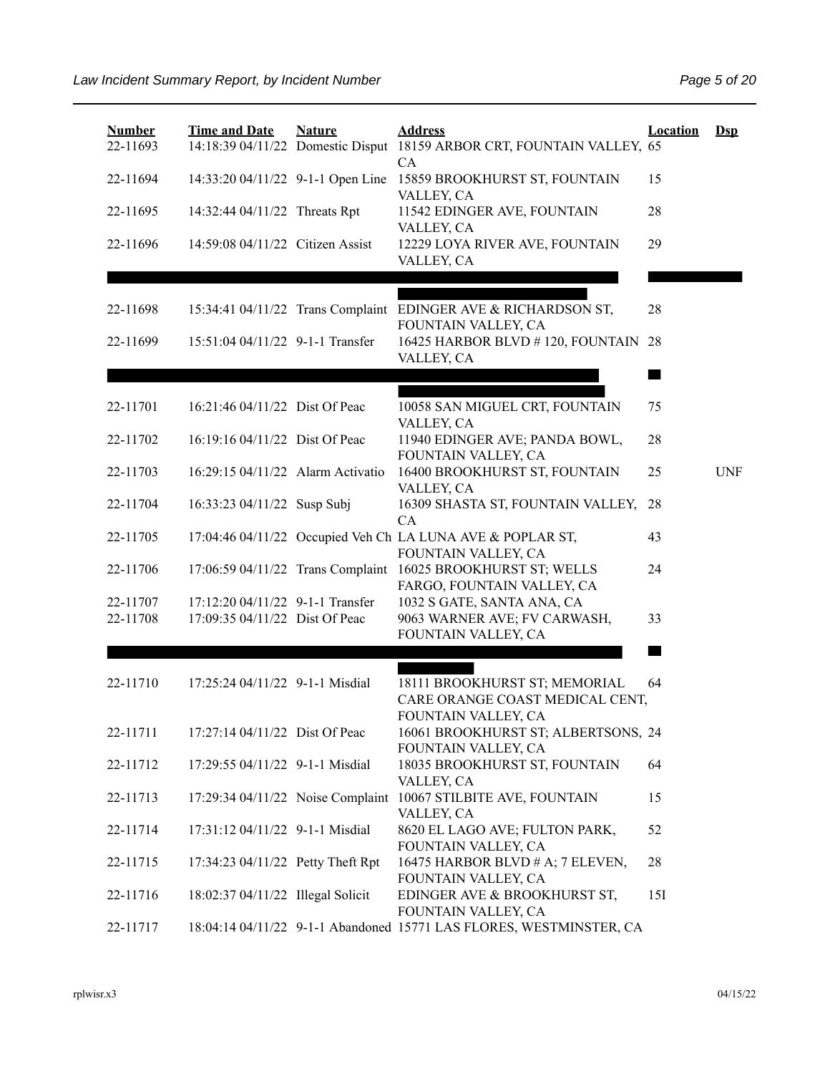| <b>Number</b><br>22-11693 | <b>Time and Date</b>              | <b>Nature</b> | <b>Address</b><br>14:18:39 04/11/22 Domestic Disput 18159 ARBOR CRT, FOUNTAIN VALLEY, 65   | <b>Location</b> | $\mathbf{Dsp}$ |
|---------------------------|-----------------------------------|---------------|--------------------------------------------------------------------------------------------|-----------------|----------------|
| 22-11694                  | 14:33:20 04/11/22 9-1-1 Open Line |               | <b>CA</b><br>15859 BROOKHURST ST, FOUNTAIN<br>VALLEY, CA                                   | 15              |                |
| 22-11695                  | 14:32:44 04/11/22 Threats Rpt     |               | 11542 EDINGER AVE, FOUNTAIN<br>VALLEY, CA                                                  | 28              |                |
| 22-11696                  | 14:59:08 04/11/22 Citizen Assist  |               | 12229 LOYA RIVER AVE, FOUNTAIN<br>VALLEY, CA                                               | 29              |                |
|                           |                                   |               |                                                                                            |                 |                |
| 22-11698                  |                                   |               | 15:34:41 04/11/22 Trans Complaint EDINGER AVE & RICHARDSON ST,<br>FOUNTAIN VALLEY, CA      | 28              |                |
| 22-11699                  | 15:51:04 04/11/22 9-1-1 Transfer  |               | 16425 HARBOR BLVD #120, FOUNTAIN 28<br>VALLEY, CA                                          |                 |                |
|                           |                                   |               |                                                                                            |                 |                |
| 22-11701                  | 16:21:46 04/11/22 Dist Of Peac    |               | 10058 SAN MIGUEL CRT, FOUNTAIN<br>VALLEY, CA                                               | 75              |                |
| 22-11702                  | 16:19:16 04/11/22 Dist Of Peac    |               | 11940 EDINGER AVE; PANDA BOWL,<br>FOUNTAIN VALLEY, CA                                      | 28              |                |
| 22-11703                  | 16:29:15 04/11/22 Alarm Activatio |               | 16400 BROOKHURST ST, FOUNTAIN<br>VALLEY, CA                                                | 25              | <b>UNF</b>     |
| 22-11704                  | 16:33:23 04/11/22 Susp Subj       |               | 16309 SHASTA ST, FOUNTAIN VALLEY,<br>CA                                                    | 28              |                |
| 22-11705                  |                                   |               | 17:04:46 04/11/22 Occupied Veh Ch LA LUNA AVE & POPLAR ST,<br>FOUNTAIN VALLEY, CA          | 43              |                |
| 22-11706                  |                                   |               | 17:06:59 04/11/22 Trans Complaint 16025 BROOKHURST ST; WELLS<br>FARGO, FOUNTAIN VALLEY, CA | 24              |                |
| 22-11707                  | 17:12:20 04/11/22 9-1-1 Transfer  |               | 1032 S GATE, SANTA ANA, CA                                                                 |                 |                |
| 22-11708                  | 17:09:35 04/11/22 Dist Of Peac    |               | 9063 WARNER AVE; FV CARWASH,<br>FOUNTAIN VALLEY, CA                                        | 33              |                |
|                           |                                   |               |                                                                                            | <b>Barris</b>   |                |
| 22-11710                  | 17:25:24 04/11/22 9-1-1 Misdial   |               | 18111 BROOKHURST ST; MEMORIAL<br>CARE ORANGE COAST MEDICAL CENT,                           | 64              |                |
| 22-11711                  | 17:27:14 04/11/22 Dist Of Peac    |               | FOUNTAIN VALLEY, CA<br>16061 BROOKHURST ST; ALBERTSONS, 24<br>FOUNTAIN VALLEY, CA          |                 |                |
| 22-11712                  | 17:29:55 04/11/22 9-1-1 Misdial   |               | 18035 BROOKHURST ST, FOUNTAIN<br>VALLEY, CA                                                | 64              |                |
| 22-11713                  |                                   |               | 17:29:34 04/11/22 Noise Complaint 10067 STILBITE AVE, FOUNTAIN<br>VALLEY, CA               | 15              |                |
| 22-11714                  | 17:31:12 04/11/22 9-1-1 Misdial   |               | 8620 EL LAGO AVE; FULTON PARK,<br>FOUNTAIN VALLEY, CA                                      | 52              |                |
| 22-11715                  | 17:34:23 04/11/22 Petty Theft Rpt |               | 16475 HARBOR BLVD # A; 7 ELEVEN,<br>FOUNTAIN VALLEY, CA                                    | 28              |                |
| 22-11716                  | 18:02:37 04/11/22 Illegal Solicit |               | EDINGER AVE & BROOKHURST ST,<br>FOUNTAIN VALLEY, CA                                        | 15I             |                |
| 22-11717                  |                                   |               | 18:04:14 04/11/22 9-1-1 Abandoned 15771 LAS FLORES, WESTMINSTER, CA                        |                 |                |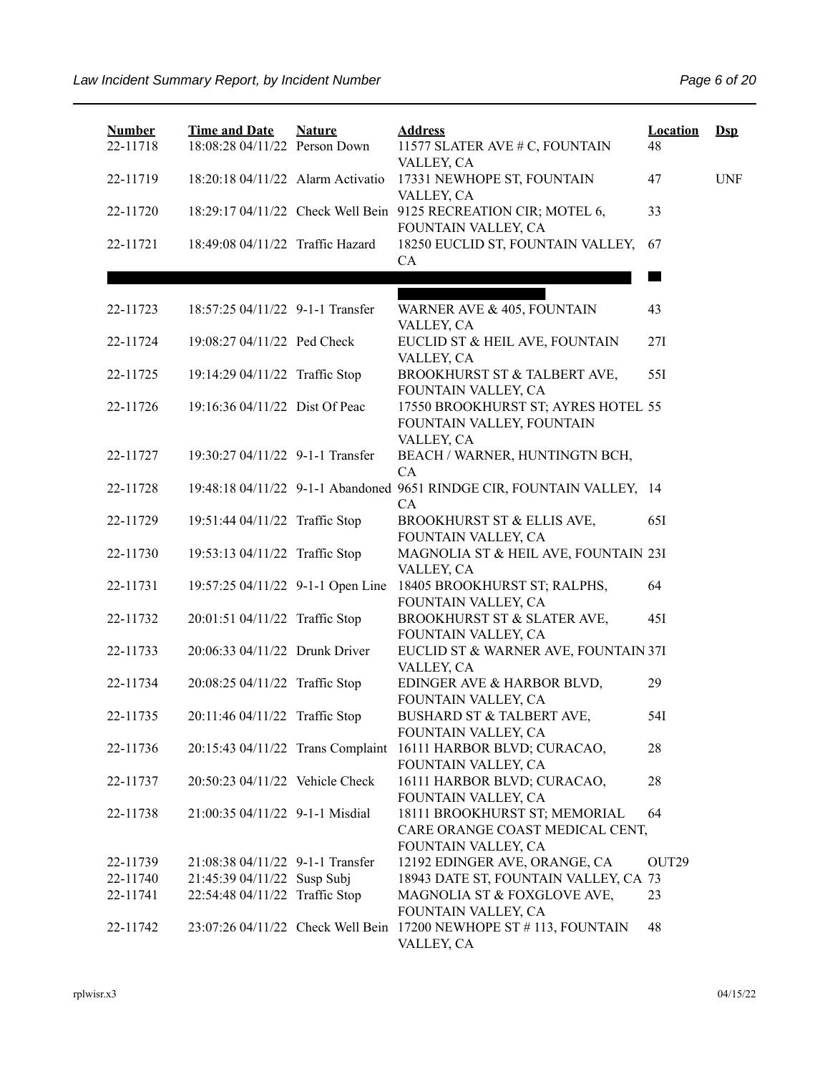| <b>Number</b><br>22-11718 | <b>Time and Date</b><br>18:08:28 04/11/22 Person Down | <b>Nature</b> | <b>Address</b><br>11577 SLATER AVE # C, FOUNTAIN                                        | <b>Location</b><br>48 | $\mathbf{Dsp}$ |
|---------------------------|-------------------------------------------------------|---------------|-----------------------------------------------------------------------------------------|-----------------------|----------------|
| 22-11719                  | 18:20:18 04/11/22 Alarm Activatio                     |               | VALLEY, CA<br>17331 NEWHOPE ST, FOUNTAIN<br>VALLEY, CA                                  | 47                    | <b>UNF</b>     |
| 22-11720                  |                                                       |               | 18:29:17 04/11/22 Check Well Bein 9125 RECREATION CIR; MOTEL 6,<br>FOUNTAIN VALLEY, CA  | 33                    |                |
| 22-11721                  | 18:49:08 04/11/22 Traffic Hazard                      |               | 18250 EUCLID ST, FOUNTAIN VALLEY,<br>CA                                                 | 67                    |                |
|                           |                                                       |               |                                                                                         |                       |                |
| 22-11723                  | 18:57:25 04/11/22 9-1-1 Transfer                      |               | WARNER AVE & 405, FOUNTAIN<br>VALLEY, CA                                                | 43                    |                |
| 22-11724                  | 19:08:27 04/11/22 Ped Check                           |               | EUCLID ST & HEIL AVE, FOUNTAIN<br>VALLEY, CA                                            | 27I                   |                |
| 22-11725                  | 19:14:29 04/11/22 Traffic Stop                        |               | BROOKHURST ST & TALBERT AVE,<br>FOUNTAIN VALLEY, CA                                     | 55I                   |                |
| 22-11726                  | 19:16:36 04/11/22 Dist Of Peac                        |               | 17550 BROOKHURST ST; AYRES HOTEL 55<br>FOUNTAIN VALLEY, FOUNTAIN<br>VALLEY, CA          |                       |                |
| 22-11727                  | 19:30:27 04/11/22 9-1-1 Transfer                      |               | BEACH / WARNER, HUNTINGTN BCH,<br>CA                                                    |                       |                |
| 22-11728                  |                                                       |               | 19:48:18 04/11/22 9-1-1 Abandoned 9651 RINDGE CIR, FOUNTAIN VALLEY, 14<br><b>CA</b>     |                       |                |
| 22-11729                  | 19:51:44 04/11/22 Traffic Stop                        |               | BROOKHURST ST & ELLIS AVE,<br>FOUNTAIN VALLEY, CA                                       | 65I                   |                |
| 22-11730                  | 19:53:13 04/11/22 Traffic Stop                        |               | MAGNOLIA ST & HEIL AVE, FOUNTAIN 23I<br>VALLEY, CA                                      |                       |                |
| 22-11731                  | 19:57:25 04/11/22 9-1-1 Open Line                     |               | 18405 BROOKHURST ST; RALPHS,<br>FOUNTAIN VALLEY, CA                                     | 64                    |                |
| 22-11732                  | 20:01:51 04/11/22 Traffic Stop                        |               | BROOKHURST ST & SLATER AVE,<br>FOUNTAIN VALLEY, CA                                      | 45I                   |                |
| 22-11733                  | 20:06:33 04/11/22 Drunk Driver                        |               | EUCLID ST & WARNER AVE, FOUNTAIN 37I<br>VALLEY, CA                                      |                       |                |
| 22-11734                  | 20:08:25 04/11/22 Traffic Stop                        |               | EDINGER AVE & HARBOR BLVD,<br>FOUNTAIN VALLEY, CA                                       | 29                    |                |
| 22-11735                  | 20:11:46 04/11/22 Traffic Stop                        |               | BUSHARD ST & TALBERT AVE,<br>FOUNTAIN VALLEY, CA                                        | 54I                   |                |
| 22-11736                  | 20:15:43 04/11/22 Trans Complaint                     |               | 16111 HARBOR BLVD; CURACAO,<br>FOUNTAIN VALLEY, CA                                      | 28                    |                |
| 22-11737                  | 20:50:23 04/11/22 Vehicle Check                       |               | 16111 HARBOR BLVD; CURACAO,<br>FOUNTAIN VALLEY, CA                                      | 28                    |                |
| 22-11738                  | 21:00:35 04/11/22 9-1-1 Misdial                       |               | 18111 BROOKHURST ST; MEMORIAL<br>CARE ORANGE COAST MEDICAL CENT,<br>FOUNTAIN VALLEY, CA | 64                    |                |
| 22-11739                  | 21:08:38 04/11/22 9-1-1 Transfer                      |               | 12192 EDINGER AVE, ORANGE, CA                                                           | OUT <sub>29</sub>     |                |
| 22-11740                  | 21:45:39 04/11/22 Susp Subj                           |               | 18943 DATE ST, FOUNTAIN VALLEY, CA 73                                                   |                       |                |
| 22-11741                  | 22:54:48 04/11/22 Traffic Stop                        |               | MAGNOLIA ST & FOXGLOVE AVE,<br>FOUNTAIN VALLEY, CA                                      | 23                    |                |
| 22-11742                  |                                                       |               | 23:07:26 04/11/22 Check Well Bein 17200 NEWHOPE ST # 113, FOUNTAIN<br>VALLEY, CA        | 48                    |                |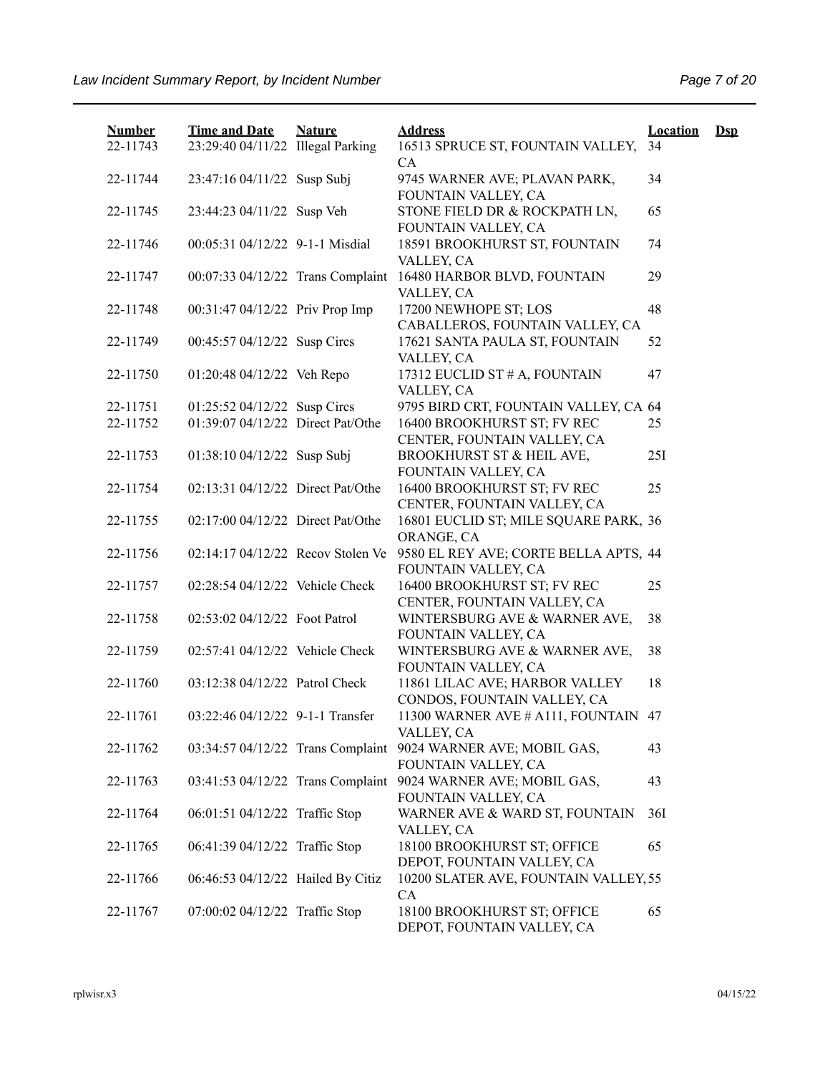| <b>Number</b> | <b>Time and Date</b>              | <b>Nature</b> | <b>Address</b>                                                | <b>Location</b> | $\mathbf{Dsp}$ |
|---------------|-----------------------------------|---------------|---------------------------------------------------------------|-----------------|----------------|
| 22-11743      | 23:29:40 04/11/22 Illegal Parking |               | 16513 SPRUCE ST, FOUNTAIN VALLEY,<br>CA                       | 34              |                |
| 22-11744      | 23:47:16 04/11/22 Susp Subj       |               | 9745 WARNER AVE; PLAVAN PARK,<br>FOUNTAIN VALLEY, CA          | 34              |                |
| 22-11745      | 23:44:23 04/11/22 Susp Veh        |               | STONE FIELD DR & ROCKPATH LN,<br>FOUNTAIN VALLEY, CA          | 65              |                |
| 22-11746      | 00:05:31 04/12/22 9-1-1 Misdial   |               | 18591 BROOKHURST ST, FOUNTAIN<br>VALLEY, CA                   | 74              |                |
| 22-11747      | 00:07:33 04/12/22 Trans Complaint |               | 16480 HARBOR BLVD, FOUNTAIN<br>VALLEY, CA                     | 29              |                |
| 22-11748      | 00:31:47 04/12/22 Priv Prop Imp   |               | 17200 NEWHOPE ST; LOS<br>CABALLEROS, FOUNTAIN VALLEY, CA      | 48              |                |
| 22-11749      | 00:45:57 04/12/22 Susp Circs      |               | 17621 SANTA PAULA ST, FOUNTAIN<br>VALLEY, CA                  | 52              |                |
| 22-11750      | 01:20:48 04/12/22 Veh Repo        |               | 17312 EUCLID ST # A, FOUNTAIN<br>VALLEY, CA                   | 47              |                |
| 22-11751      | 01:25:52 04/12/22 Susp Circs      |               | 9795 BIRD CRT, FOUNTAIN VALLEY, CA 64                         |                 |                |
| 22-11752      | 01:39:07 04/12/22 Direct Pat/Othe |               | 16400 BROOKHURST ST; FV REC                                   | 25              |                |
|               |                                   |               | CENTER, FOUNTAIN VALLEY, CA                                   |                 |                |
| 22-11753      | 01:38:10 04/12/22 Susp Subj       |               | BROOKHURST ST & HEIL AVE,                                     | 25I             |                |
|               |                                   |               | FOUNTAIN VALLEY, CA                                           |                 |                |
| 22-11754      | 02:13:31 04/12/22 Direct Pat/Othe |               | 16400 BROOKHURST ST; FV REC                                   | 25              |                |
|               |                                   |               | CENTER, FOUNTAIN VALLEY, CA                                   |                 |                |
| 22-11755      | 02:17:00 04/12/22 Direct Pat/Othe |               | 16801 EUCLID ST; MILE SQUARE PARK, 36                         |                 |                |
|               |                                   |               | ORANGE, CA                                                    |                 |                |
| 22-11756      | 02:14:17 04/12/22 Recov Stolen Ve |               | 9580 EL REY AVE; CORTE BELLA APTS, 44                         |                 |                |
|               |                                   |               | FOUNTAIN VALLEY, CA                                           |                 |                |
| 22-11757      | 02:28:54 04/12/22 Vehicle Check   |               | 16400 BROOKHURST ST; FV REC                                   | 25              |                |
|               |                                   |               | CENTER, FOUNTAIN VALLEY, CA                                   |                 |                |
| 22-11758      | 02:53:02 04/12/22 Foot Patrol     |               | WINTERSBURG AVE & WARNER AVE,<br>FOUNTAIN VALLEY, CA          | 38              |                |
| 22-11759      | 02:57:41 04/12/22 Vehicle Check   |               | WINTERSBURG AVE & WARNER AVE,<br>FOUNTAIN VALLEY, CA          | 38              |                |
| 22-11760      | 03:12:38 04/12/22 Patrol Check    |               | 11861 LILAC AVE; HARBOR VALLEY<br>CONDOS, FOUNTAIN VALLEY, CA | 18              |                |
| 22-11761      | 03:22:46 04/12/22 9-1-1 Transfer  |               | 11300 WARNER AVE # A111, FOUNTAIN<br>VALLEY, CA               | 47              |                |
| 22-11762      | 03:34:57 04/12/22 Trans Complaint |               | 9024 WARNER AVE; MOBIL GAS,<br>FOUNTAIN VALLEY, CA            | 43              |                |
| 22-11763      | 03:41:53 04/12/22 Trans Complaint |               | 9024 WARNER AVE; MOBIL GAS,<br>FOUNTAIN VALLEY, CA            | 43              |                |
| 22-11764      | 06:01:51 04/12/22 Traffic Stop    |               | WARNER AVE & WARD ST, FOUNTAIN<br>VALLEY, CA                  | 36I             |                |
| 22-11765      | 06:41:39 04/12/22 Traffic Stop    |               | 18100 BROOKHURST ST; OFFICE<br>DEPOT, FOUNTAIN VALLEY, CA     | 65              |                |
| 22-11766      | 06:46:53 04/12/22 Hailed By Citiz |               | 10200 SLATER AVE, FOUNTAIN VALLEY, 55<br>CA                   |                 |                |
| 22-11767      | 07:00:02 04/12/22 Traffic Stop    |               | 18100 BROOKHURST ST; OFFICE<br>DEPOT, FOUNTAIN VALLEY, CA     | 65              |                |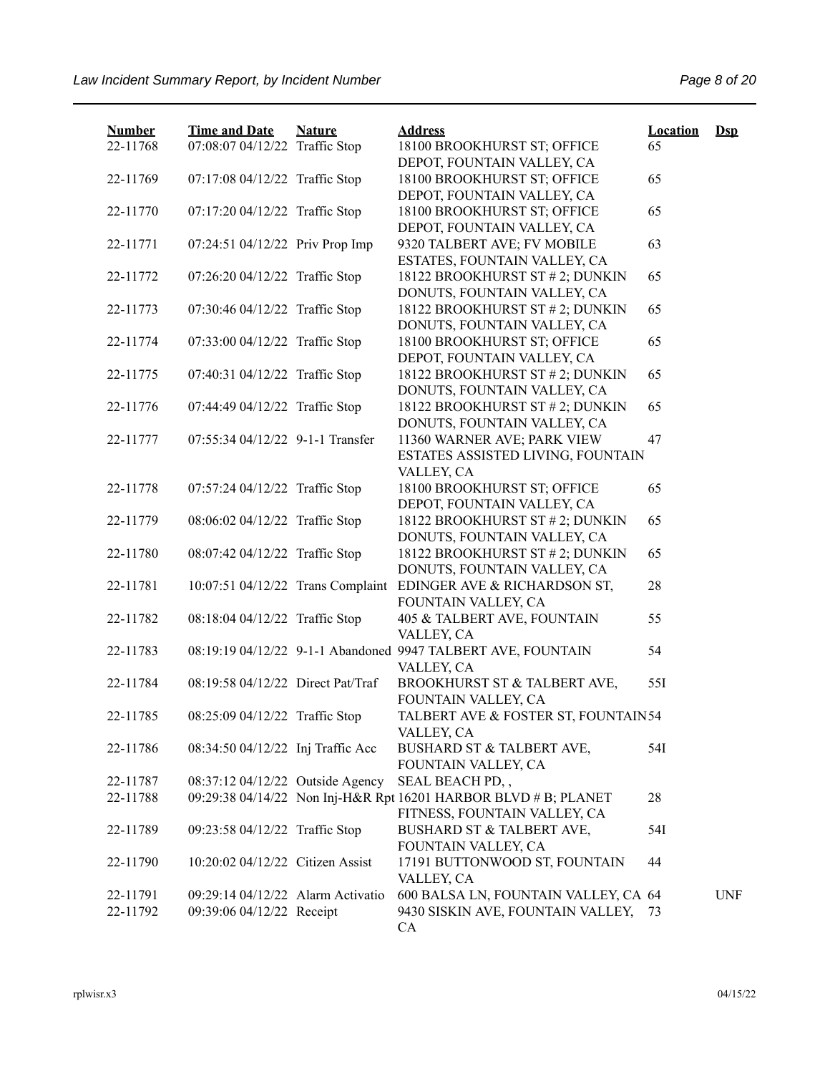| <b>Number</b> | <b>Time and Date</b>              | <b>Nature</b> | <b>Address</b>                                                  | <b>Location</b> | $Dsp$      |
|---------------|-----------------------------------|---------------|-----------------------------------------------------------------|-----------------|------------|
| 22-11768      | 07:08:07 04/12/22 Traffic Stop    |               | 18100 BROOKHURST ST; OFFICE<br>DEPOT, FOUNTAIN VALLEY, CA       | 65              |            |
| 22-11769      | 07:17:08 04/12/22 Traffic Stop    |               | 18100 BROOKHURST ST; OFFICE                                     | 65              |            |
|               |                                   |               | DEPOT, FOUNTAIN VALLEY, CA                                      |                 |            |
| 22-11770      | 07:17:20 04/12/22 Traffic Stop    |               | 18100 BROOKHURST ST; OFFICE                                     | 65              |            |
|               |                                   |               | DEPOT, FOUNTAIN VALLEY, CA                                      |                 |            |
| 22-11771      | 07:24:51 04/12/22 Priv Prop Imp   |               | 9320 TALBERT AVE; FV MOBILE                                     | 63              |            |
|               |                                   |               | ESTATES, FOUNTAIN VALLEY, CA                                    |                 |            |
| 22-11772      | 07:26:20 04/12/22 Traffic Stop    |               | 18122 BROOKHURST ST # 2; DUNKIN                                 | 65              |            |
|               |                                   |               | DONUTS, FOUNTAIN VALLEY, CA                                     |                 |            |
| 22-11773      | 07:30:46 04/12/22 Traffic Stop    |               | 18122 BROOKHURST ST # 2; DUNKIN<br>DONUTS, FOUNTAIN VALLEY, CA  | 65              |            |
| 22-11774      | 07:33:00 04/12/22 Traffic Stop    |               | 18100 BROOKHURST ST; OFFICE                                     | 65              |            |
|               |                                   |               | DEPOT, FOUNTAIN VALLEY, CA                                      |                 |            |
| 22-11775      | 07:40:31 04/12/22 Traffic Stop    |               | 18122 BROOKHURST ST # 2; DUNKIN                                 | 65              |            |
|               |                                   |               | DONUTS, FOUNTAIN VALLEY, CA                                     |                 |            |
| 22-11776      | 07:44:49 04/12/22 Traffic Stop    |               | 18122 BROOKHURST ST # 2; DUNKIN                                 | 65              |            |
|               |                                   |               | DONUTS, FOUNTAIN VALLEY, CA                                     |                 |            |
| 22-11777      | 07:55:34 04/12/22 9-1-1 Transfer  |               | 11360 WARNER AVE; PARK VIEW                                     | 47              |            |
|               |                                   |               | ESTATES ASSISTED LIVING, FOUNTAIN                               |                 |            |
|               |                                   |               | VALLEY, CA                                                      |                 |            |
| 22-11778      | 07:57:24 04/12/22 Traffic Stop    |               | 18100 BROOKHURST ST; OFFICE                                     | 65              |            |
|               |                                   |               | DEPOT, FOUNTAIN VALLEY, CA                                      |                 |            |
| 22-11779      | 08:06:02 04/12/22 Traffic Stop    |               | 18122 BROOKHURST ST # 2; DUNKIN                                 | 65              |            |
| 22-11780      | 08:07:42 04/12/22 Traffic Stop    |               | DONUTS, FOUNTAIN VALLEY, CA<br>18122 BROOKHURST ST # 2; DUNKIN  | 65              |            |
|               |                                   |               | DONUTS, FOUNTAIN VALLEY, CA                                     |                 |            |
| 22-11781      | 10:07:51 04/12/22 Trans Complaint |               | EDINGER AVE & RICHARDSON ST,                                    | 28              |            |
|               |                                   |               | FOUNTAIN VALLEY, CA                                             |                 |            |
| 22-11782      | 08:18:04 04/12/22 Traffic Stop    |               | 405 & TALBERT AVE, FOUNTAIN                                     | 55              |            |
|               |                                   |               | VALLEY, CA                                                      |                 |            |
| 22-11783      |                                   |               | 08:19:19 04/12/22 9-1-1 Abandoned 9947 TALBERT AVE, FOUNTAIN    | 54              |            |
|               |                                   |               | VALLEY, CA                                                      |                 |            |
| 22-11784      | 08:19:58 04/12/22 Direct Pat/Traf |               | BROOKHURST ST & TALBERT AVE,                                    | 551             |            |
|               |                                   |               | FOUNTAIN VALLEY, CA                                             |                 |            |
| 22-11785      | 08:25:09 04/12/22 Traffic Stop    |               | TALBERT AVE & FOSTER ST, FOUNTAIN54                             |                 |            |
|               |                                   |               | VALLEY, CA                                                      |                 |            |
| 22-11786      | 08:34:50 04/12/22 Inj Traffic Acc |               | BUSHARD ST & TALBERT AVE,                                       | 54I             |            |
| 22-11787      | 08:37:12 04/12/22 Outside Agency  |               | FOUNTAIN VALLEY, CA<br>SEAL BEACH PD,,                          |                 |            |
| 22-11788      |                                   |               | 09:29:38 04/14/22 Non Inj-H&R Rpt 16201 HARBOR BLVD # B; PLANET | 28              |            |
|               |                                   |               | FITNESS, FOUNTAIN VALLEY, CA                                    |                 |            |
| 22-11789      | 09:23:58 04/12/22 Traffic Stop    |               | BUSHARD ST & TALBERT AVE,                                       | 54I             |            |
|               |                                   |               | FOUNTAIN VALLEY, CA                                             |                 |            |
| 22-11790      | 10:20:02 04/12/22 Citizen Assist  |               | 17191 BUTTONWOOD ST, FOUNTAIN                                   | 44              |            |
|               |                                   |               | VALLEY, CA                                                      |                 |            |
| 22-11791      | 09:29:14 04/12/22 Alarm Activatio |               | 600 BALSA LN, FOUNTAIN VALLEY, CA 64                            |                 | <b>UNF</b> |
| 22-11792      | 09:39:06 04/12/22 Receipt         |               | 9430 SISKIN AVE, FOUNTAIN VALLEY,                               | 73              |            |
|               |                                   |               | CA                                                              |                 |            |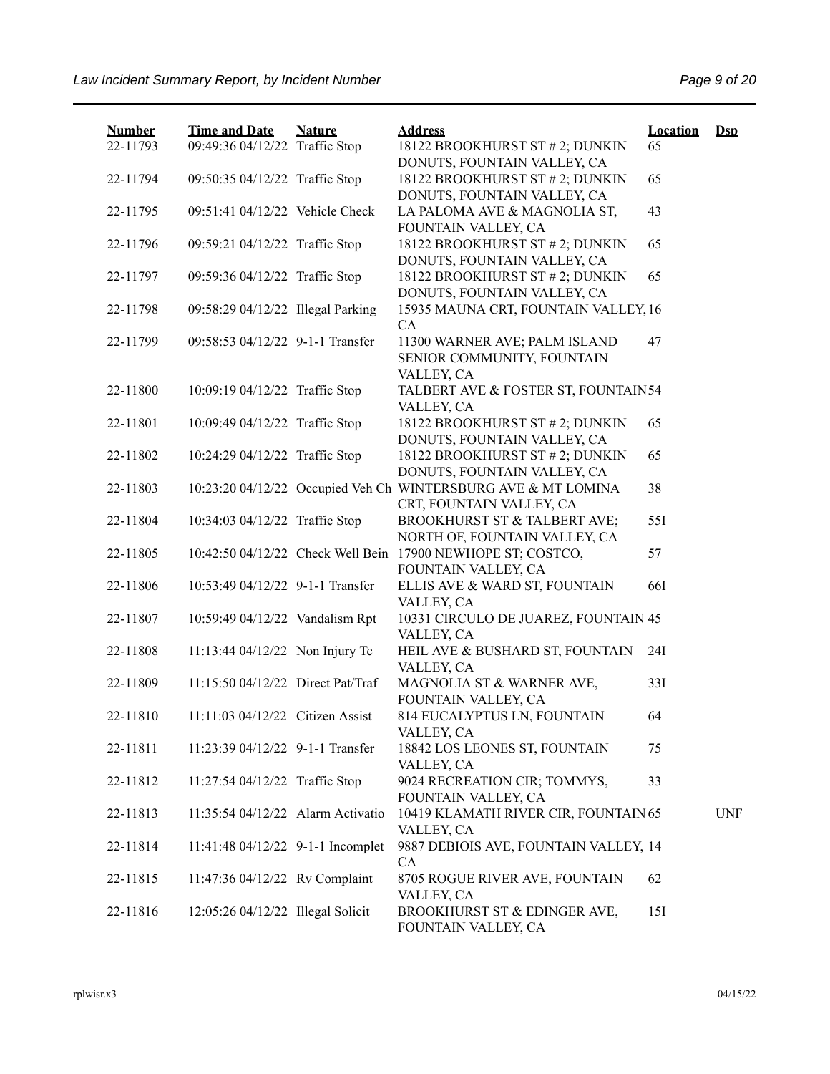| <b>Number</b><br>22-11793 | <b>Time and Date</b><br>09:49:36 04/12/22 Traffic Stop | <b>Nature</b> | <b>Address</b><br>18122 BROOKHURST ST # 2; DUNKIN<br>DONUTS, FOUNTAIN VALLEY, CA          | <b>Location</b><br>65 | $DsD$      |
|---------------------------|--------------------------------------------------------|---------------|-------------------------------------------------------------------------------------------|-----------------------|------------|
| 22-11794                  | 09:50:35 04/12/22 Traffic Stop                         |               | 18122 BROOKHURST ST # 2; DUNKIN<br>DONUTS, FOUNTAIN VALLEY, CA                            | 65                    |            |
| 22-11795                  | 09:51:41 04/12/22 Vehicle Check                        |               | LA PALOMA AVE & MAGNOLIA ST,<br>FOUNTAIN VALLEY, CA                                       | 43                    |            |
| 22-11796                  | 09:59:21 04/12/22 Traffic Stop                         |               | 18122 BROOKHURST ST # 2; DUNKIN<br>DONUTS, FOUNTAIN VALLEY, CA                            | 65                    |            |
| 22-11797                  | 09:59:36 04/12/22 Traffic Stop                         |               | 18122 BROOKHURST ST # 2; DUNKIN<br>DONUTS, FOUNTAIN VALLEY, CA                            | 65                    |            |
| 22-11798                  | 09:58:29 04/12/22 Illegal Parking                      |               | 15935 MAUNA CRT, FOUNTAIN VALLEY, 16<br>CA                                                |                       |            |
| 22-11799                  | 09:58:53 04/12/22 9-1-1 Transfer                       |               | 11300 WARNER AVE; PALM ISLAND<br>SENIOR COMMUNITY, FOUNTAIN<br>VALLEY, CA                 | 47                    |            |
| 22-11800                  | 10:09:19 04/12/22 Traffic Stop                         |               | TALBERT AVE & FOSTER ST, FOUNTAIN54<br>VALLEY, CA                                         |                       |            |
| 22-11801                  | 10:09:49 04/12/22 Traffic Stop                         |               | 18122 BROOKHURST ST # 2; DUNKIN<br>DONUTS, FOUNTAIN VALLEY, CA                            | 65                    |            |
| 22-11802                  | 10:24:29 04/12/22 Traffic Stop                         |               | 18122 BROOKHURST ST # 2; DUNKIN<br>DONUTS, FOUNTAIN VALLEY, CA                            | 65                    |            |
| 22-11803                  |                                                        |               | 10:23:20 04/12/22 Occupied Veh Ch WINTERSBURG AVE & MT LOMINA<br>CRT, FOUNTAIN VALLEY, CA | 38                    |            |
| 22-11804                  | 10:34:03 04/12/22 Traffic Stop                         |               | BROOKHURST ST & TALBERT AVE;<br>NORTH OF, FOUNTAIN VALLEY, CA                             | 55I                   |            |
| 22-11805                  |                                                        |               | 10:42:50 04/12/22 Check Well Bein 17900 NEWHOPE ST; COSTCO,<br>FOUNTAIN VALLEY, CA        | 57                    |            |
| 22-11806                  | 10:53:49 04/12/22 9-1-1 Transfer                       |               | ELLIS AVE & WARD ST, FOUNTAIN<br>VALLEY, CA                                               | <b>66I</b>            |            |
| 22-11807                  | 10:59:49 04/12/22 Vandalism Rpt                        |               | 10331 CIRCULO DE JUAREZ, FOUNTAIN 45<br>VALLEY, CA                                        |                       |            |
| 22-11808                  | 11:13:44 04/12/22 Non Injury Tc                        |               | HEIL AVE & BUSHARD ST, FOUNTAIN<br>VALLEY, CA                                             | 24I                   |            |
| 22-11809                  | 11:15:50 04/12/22 Direct Pat/Traf                      |               | MAGNOLIA ST & WARNER AVE,<br>FOUNTAIN VALLEY, CA                                          | 33I                   |            |
| 22-11810                  | 11:11:03 04/12/22 Citizen Assist                       |               | 814 EUCALYPTUS LN, FOUNTAIN<br>VALLEY, CA                                                 | 64                    |            |
| 22-11811                  | 11:23:39 04/12/22 9-1-1 Transfer                       |               | 18842 LOS LEONES ST, FOUNTAIN<br>VALLEY, CA                                               | 75                    |            |
| 22-11812                  | 11:27:54 04/12/22 Traffic Stop                         |               | 9024 RECREATION CIR; TOMMYS,<br>FOUNTAIN VALLEY, CA                                       | 33                    |            |
| 22-11813                  | 11:35:54 04/12/22 Alarm Activatio                      |               | 10419 KLAMATH RIVER CIR, FOUNTAIN 65<br>VALLEY, CA                                        |                       | <b>UNF</b> |
| 22-11814                  | 11:41:48 04/12/22 9-1-1 Incomplet                      |               | 9887 DEBIOIS AVE, FOUNTAIN VALLEY, 14<br>CA                                               |                       |            |
| 22-11815                  | 11:47:36 04/12/22 Rv Complaint                         |               | 8705 ROGUE RIVER AVE, FOUNTAIN<br>VALLEY, CA                                              | 62                    |            |
| 22-11816                  | 12:05:26 04/12/22 Illegal Solicit                      |               | BROOKHURST ST & EDINGER AVE,<br>FOUNTAIN VALLEY, CA                                       | 15I                   |            |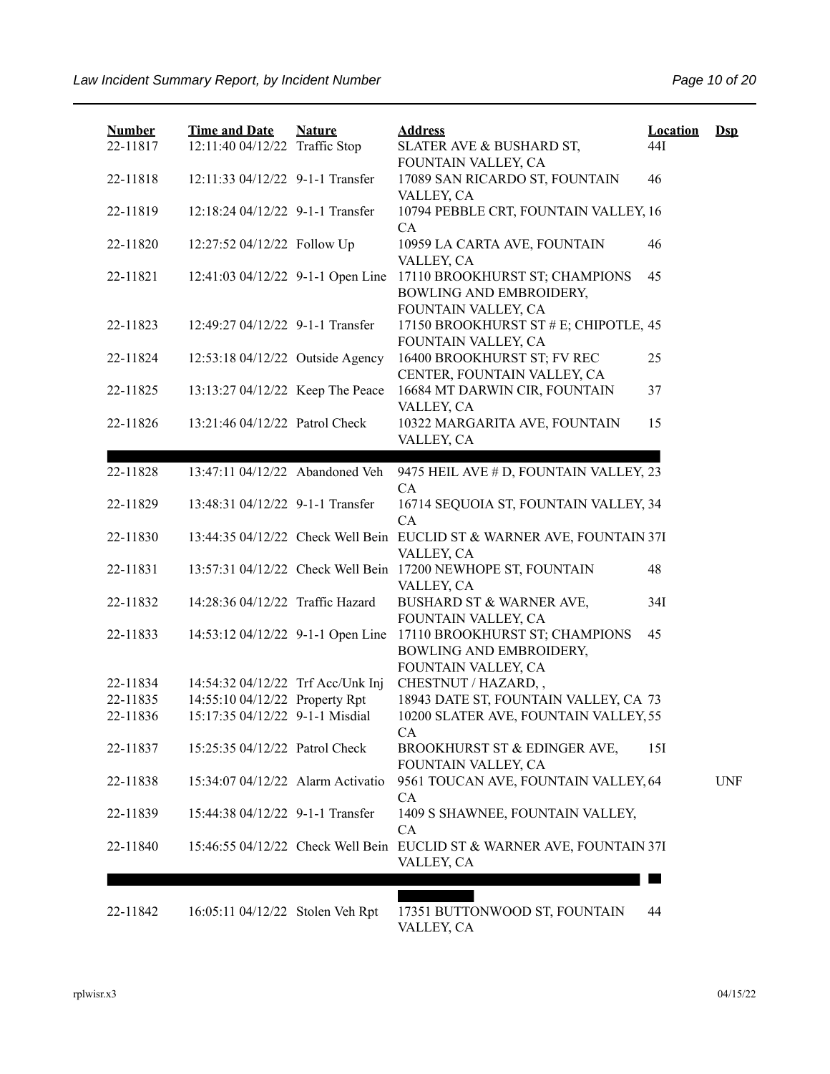| <b>Number</b> | <b>Time and Date</b>              | <b>Nature</b> | <b>Address</b>                                                                             | Location | $Ds$       |
|---------------|-----------------------------------|---------------|--------------------------------------------------------------------------------------------|----------|------------|
| 22-11817      | 12:11:40 04/12/22 Traffic Stop    |               | SLATER AVE & BUSHARD ST,<br>FOUNTAIN VALLEY, CA                                            | 44I      |            |
| 22-11818      | 12:11:33 04/12/22 9-1-1 Transfer  |               | 17089 SAN RICARDO ST, FOUNTAIN<br>VALLEY, CA                                               | 46       |            |
| 22-11819      | 12:18:24 04/12/22 9-1-1 Transfer  |               | 10794 PEBBLE CRT, FOUNTAIN VALLEY, 16<br><b>CA</b>                                         |          |            |
| 22-11820      | 12:27:52 04/12/22 Follow Up       |               | 10959 LA CARTA AVE, FOUNTAIN<br>VALLEY, CA                                                 | 46       |            |
| 22-11821      | 12:41:03 04/12/22 9-1-1 Open Line |               | 17110 BROOKHURST ST; CHAMPIONS<br>BOWLING AND EMBROIDERY,<br>FOUNTAIN VALLEY, CA           | 45       |            |
| 22-11823      | 12:49:27 04/12/22 9-1-1 Transfer  |               | 17150 BROOKHURST ST # E; CHIPOTLE, 45<br>FOUNTAIN VALLEY, CA                               |          |            |
| 22-11824      | 12:53:18 04/12/22 Outside Agency  |               | 16400 BROOKHURST ST; FV REC<br>CENTER, FOUNTAIN VALLEY, CA                                 | 25       |            |
| 22-11825      | 13:13:27 04/12/22 Keep The Peace  |               | 16684 MT DARWIN CIR, FOUNTAIN                                                              | 37       |            |
| 22-11826      | 13:21:46 04/12/22 Patrol Check    |               | VALLEY, CA<br>10322 MARGARITA AVE, FOUNTAIN<br>VALLEY, CA                                  | 15       |            |
|               |                                   |               |                                                                                            |          |            |
| 22-11828      | 13:47:11 04/12/22 Abandoned Veh   |               | 9475 HEIL AVE # D, FOUNTAIN VALLEY, 23<br><b>CA</b>                                        |          |            |
| 22-11829      | 13:48:31 04/12/22 9-1-1 Transfer  |               | 16714 SEQUOIA ST, FOUNTAIN VALLEY, 34<br>CA                                                |          |            |
| 22-11830      |                                   |               | 13:44:35 04/12/22 Check Well Bein EUCLID ST & WARNER AVE, FOUNTAIN 37I<br>VALLEY, CA       |          |            |
| 22-11831      |                                   |               | 13:57:31 04/12/22 Check Well Bein 17200 NEWHOPE ST, FOUNTAIN<br>VALLEY, CA                 | 48       |            |
| 22-11832      | 14:28:36 04/12/22 Traffic Hazard  |               | BUSHARD ST & WARNER AVE,<br>FOUNTAIN VALLEY, CA                                            | 34I      |            |
| 22-11833      | 14:53:12 04/12/22 9-1-1 Open Line |               | 17110 BROOKHURST ST; CHAMPIONS<br>BOWLING AND EMBROIDERY,<br>FOUNTAIN VALLEY, CA           | 45       |            |
| 22-11834      | 14:54:32 04/12/22 Trf Acc/Unk Inj |               | CHESTNUT / HAZARD,,                                                                        |          |            |
| 22-11835      | 14:55:10 04/12/22 Property Rpt    |               | 18943 DATE ST, FOUNTAIN VALLEY, CA 73                                                      |          |            |
| 22-11836      | 15:17:35 04/12/22 9-1-1 Misdial   |               | 10200 SLATER AVE, FOUNTAIN VALLEY, 55<br>CA                                                |          |            |
| 22-11837      | 15:25:35 04/12/22 Patrol Check    |               | BROOKHURST ST & EDINGER AVE,<br>FOUNTAIN VALLEY, CA                                        | 15I      |            |
| 22-11838      | 15:34:07 04/12/22 Alarm Activatio |               | 9561 TOUCAN AVE, FOUNTAIN VALLEY, 64<br>CA                                                 |          | <b>UNF</b> |
| 22-11839      | 15:44:38 04/12/22 9-1-1 Transfer  |               | 1409 S SHAWNEE, FOUNTAIN VALLEY,                                                           |          |            |
| 22-11840      |                                   |               | CA<br>15:46:55 04/12/22 Check Well Bein EUCLID ST & WARNER AVE, FOUNTAIN 37I<br>VALLEY, CA |          |            |
|               |                                   |               |                                                                                            |          |            |
| 22-11842      | 16:05:11 04/12/22 Stolen Veh Rpt  |               | 17351 BUTTONWOOD ST, FOUNTAIN<br>VALLEY, CA                                                | 44       |            |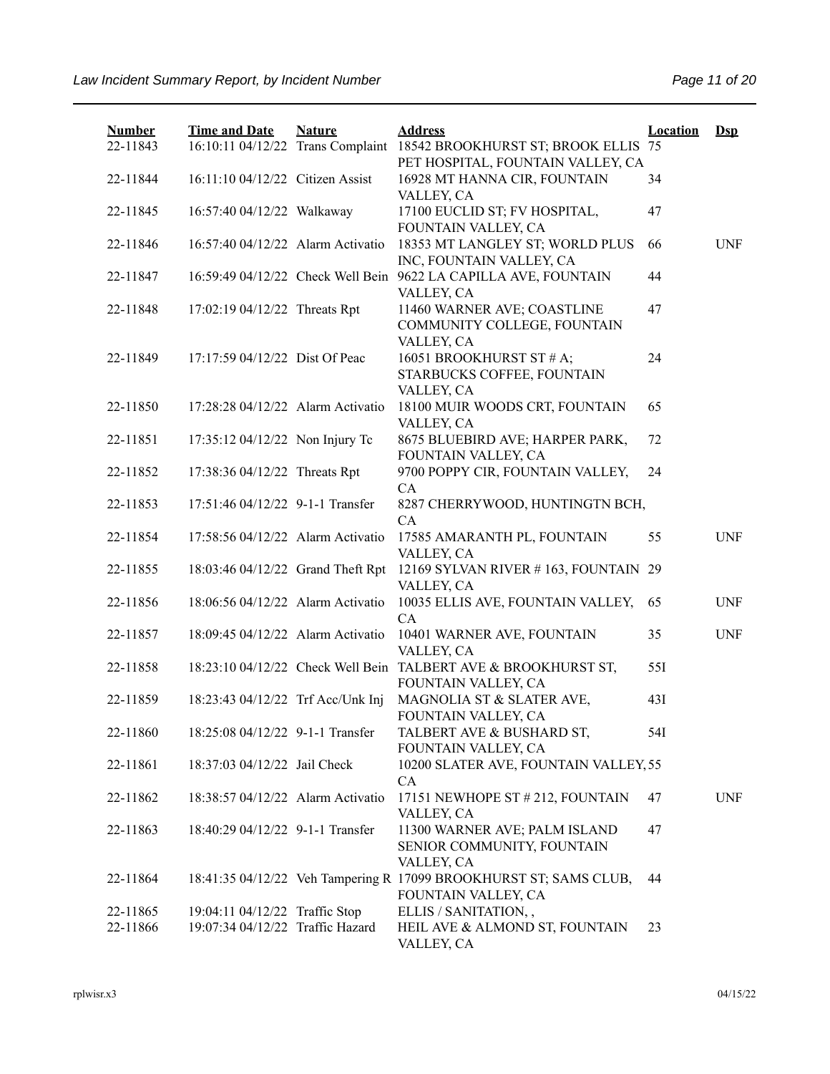| <b>Number</b><br>22-11843 | <b>Time and Date</b>                                               | <b>Nature</b> | <b>Address</b><br>16:10:11 04/12/22 Trans Complaint 18542 BROOKHURST ST; BROOK ELLIS 75  | <b>Location</b> | $Ds$       |
|---------------------------|--------------------------------------------------------------------|---------------|------------------------------------------------------------------------------------------|-----------------|------------|
| 22-11844                  | 16:11:10 04/12/22 Citizen Assist                                   |               | PET HOSPITAL, FOUNTAIN VALLEY, CA<br>16928 MT HANNA CIR, FOUNTAIN<br>VALLEY, CA          | 34              |            |
| 22-11845                  | 16:57:40 04/12/22 Walkaway                                         |               | 17100 EUCLID ST; FV HOSPITAL,<br>FOUNTAIN VALLEY, CA                                     | 47              |            |
| 22-11846                  | 16:57:40 04/12/22 Alarm Activatio                                  |               | 18353 MT LANGLEY ST; WORLD PLUS<br>INC, FOUNTAIN VALLEY, CA                              | 66              | <b>UNF</b> |
| 22-11847                  |                                                                    |               | 16:59:49 04/12/22 Check Well Bein 9622 LA CAPILLA AVE, FOUNTAIN<br>VALLEY, CA            | 44              |            |
| 22-11848                  | 17:02:19 04/12/22 Threats Rpt                                      |               | 11460 WARNER AVE; COASTLINE<br>COMMUNITY COLLEGE, FOUNTAIN<br>VALLEY, CA                 | 47              |            |
| 22-11849                  | 17:17:59 04/12/22 Dist Of Peac                                     |               | 16051 BROOKHURST ST # A;<br>STARBUCKS COFFEE, FOUNTAIN<br>VALLEY, CA                     | 24              |            |
| 22-11850                  | 17:28:28 04/12/22 Alarm Activatio                                  |               | 18100 MUIR WOODS CRT, FOUNTAIN<br>VALLEY, CA                                             | 65              |            |
| 22-11851                  | 17:35:12 04/12/22 Non Injury Tc                                    |               | 8675 BLUEBIRD AVE; HARPER PARK,<br>FOUNTAIN VALLEY, CA                                   | 72              |            |
| 22-11852                  | 17:38:36 04/12/22 Threats Rpt                                      |               | 9700 POPPY CIR, FOUNTAIN VALLEY,<br>CA                                                   | 24              |            |
| 22-11853                  | 17:51:46 04/12/22 9-1-1 Transfer                                   |               | 8287 CHERRYWOOD, HUNTINGTN BCH,<br>CA                                                    |                 |            |
| 22-11854                  | 17:58:56 04/12/22 Alarm Activatio                                  |               | 17585 AMARANTH PL, FOUNTAIN<br>VALLEY, CA                                                | 55              | <b>UNF</b> |
| 22-11855                  | 18:03:46 04/12/22 Grand Theft Rpt                                  |               | 12169 SYLVAN RIVER #163, FOUNTAIN 29<br>VALLEY, CA                                       |                 |            |
| 22-11856                  | 18:06:56 04/12/22 Alarm Activatio                                  |               | 10035 ELLIS AVE, FOUNTAIN VALLEY,<br>CA                                                  | 65              | <b>UNF</b> |
| 22-11857                  | 18:09:45 04/12/22 Alarm Activatio                                  |               | 10401 WARNER AVE, FOUNTAIN<br>VALLEY, CA                                                 | 35              | <b>UNF</b> |
| 22-11858                  |                                                                    |               | 18:23:10 04/12/22 Check Well Bein TALBERT AVE & BROOKHURST ST,<br>FOUNTAIN VALLEY, CA    | 55I             |            |
| 22-11859                  | 18:23:43 04/12/22 Trf Acc/Unk Inj                                  |               | MAGNOLIA ST & SLATER AVE,<br>FOUNTAIN VALLEY, CA                                         | 43I             |            |
| 22-11860                  | 18:25:08 04/12/22 9-1-1 Transfer                                   |               | TALBERT AVE & BUSHARD ST,<br>FOUNTAIN VALLEY, CA                                         | 54I             |            |
| 22-11861                  | 18:37:03 04/12/22 Jail Check                                       |               | 10200 SLATER AVE, FOUNTAIN VALLEY, 55<br>CA                                              |                 |            |
| 22-11862                  | 18:38:57 04/12/22 Alarm Activatio                                  |               | 17151 NEWHOPE ST # 212, FOUNTAIN                                                         | 47              | <b>UNF</b> |
| 22-11863                  | 18:40:29 04/12/22 9-1-1 Transfer                                   |               | VALLEY, CA<br>11300 WARNER AVE; PALM ISLAND<br>SENIOR COMMUNITY, FOUNTAIN<br>VALLEY, CA  | 47              |            |
| 22-11864                  |                                                                    |               | 18:41:35 04/12/22 Veh Tampering R 17099 BROOKHURST ST; SAMS CLUB,<br>FOUNTAIN VALLEY, CA | 44              |            |
| 22-11865<br>22-11866      | 19:04:11 04/12/22 Traffic Stop<br>19:07:34 04/12/22 Traffic Hazard |               | ELLIS / SANITATION,,<br>HEIL AVE & ALMOND ST, FOUNTAIN<br>VALLEY, CA                     | 23              |            |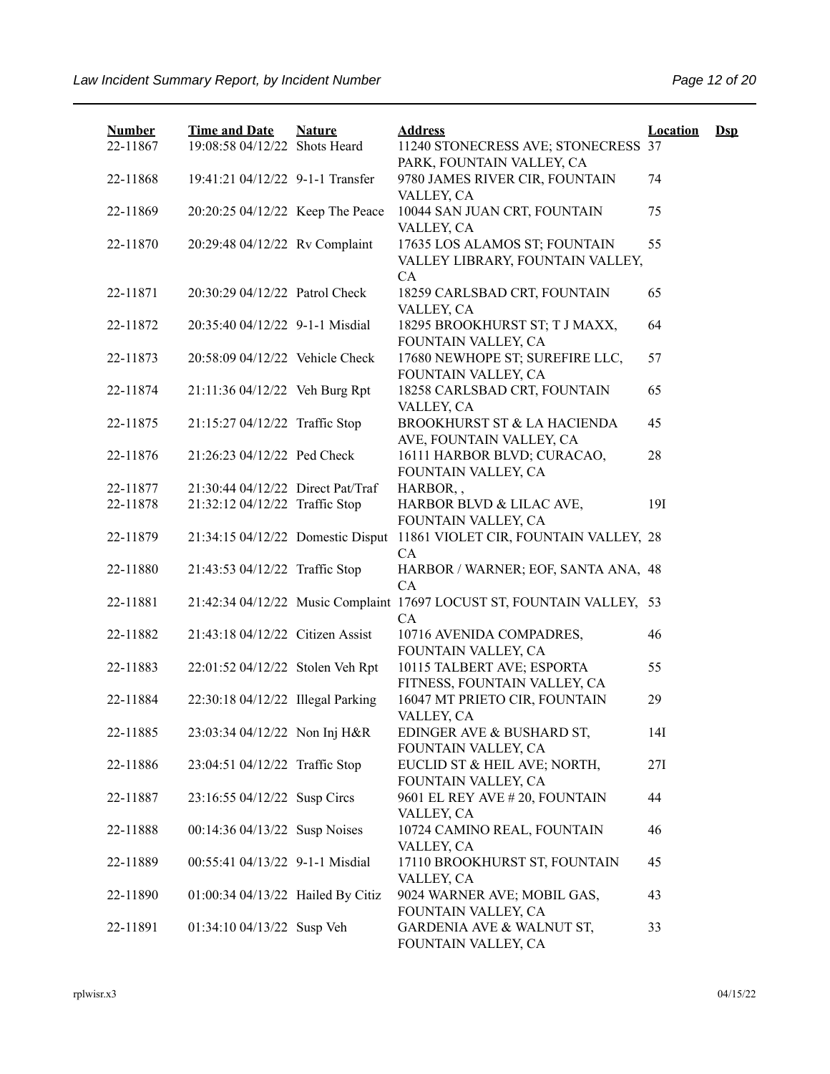| <b>Number</b> | <b>Time and Date</b>              | <b>Nature</b> | <b>Address</b>                                                               | <b>Location</b> | $\mathbf{Dsp}$ |
|---------------|-----------------------------------|---------------|------------------------------------------------------------------------------|-----------------|----------------|
| 22-11867      | 19:08:58 04/12/22 Shots Heard     |               | 11240 STONECRESS AVE; STONECRESS 37<br>PARK, FOUNTAIN VALLEY, CA             |                 |                |
| 22-11868      | 19:41:21 04/12/22 9-1-1 Transfer  |               | 9780 JAMES RIVER CIR, FOUNTAIN                                               | 74              |                |
| 22-11869      | 20:20:25 04/12/22 Keep The Peace  |               | VALLEY, CA<br>10044 SAN JUAN CRT, FOUNTAIN                                   | 75              |                |
|               |                                   |               | VALLEY, CA                                                                   |                 |                |
| 22-11870      | 20:29:48 04/12/22 Rv Complaint    |               | 17635 LOS ALAMOS ST; FOUNTAIN<br>VALLEY LIBRARY, FOUNTAIN VALLEY,            | 55              |                |
| 22-11871      | 20:30:29 04/12/22 Patrol Check    |               | CA<br>18259 CARLSBAD CRT, FOUNTAIN                                           | 65              |                |
| 22-11872      | 20:35:40 04/12/22 9-1-1 Misdial   |               | VALLEY, CA<br>18295 BROOKHURST ST; T J MAXX,<br>FOUNTAIN VALLEY, CA          | 64              |                |
| 22-11873      | 20:58:09 04/12/22 Vehicle Check   |               | 17680 NEWHOPE ST; SUREFIRE LLC,<br>FOUNTAIN VALLEY, CA                       | 57              |                |
| 22-11874      | 21:11:36 04/12/22 Veh Burg Rpt    |               | 18258 CARLSBAD CRT, FOUNTAIN<br>VALLEY, CA                                   | 65              |                |
| 22-11875      | 21:15:27 04/12/22 Traffic Stop    |               | BROOKHURST ST & LA HACIENDA<br>AVE, FOUNTAIN VALLEY, CA                      | 45              |                |
| 22-11876      | 21:26:23 04/12/22 Ped Check       |               | 16111 HARBOR BLVD; CURACAO,<br>FOUNTAIN VALLEY, CA                           | 28              |                |
| 22-11877      | 21:30:44 04/12/22 Direct Pat/Traf |               | HARBOR,,                                                                     |                 |                |
| 22-11878      | 21:32:12 04/12/22 Traffic Stop    |               | HARBOR BLVD & LILAC AVE,<br>FOUNTAIN VALLEY, CA                              | 19I             |                |
| 22-11879      | 21:34:15 04/12/22 Domestic Disput |               | 11861 VIOLET CIR, FOUNTAIN VALLEY, 28<br>CA                                  |                 |                |
| 22-11880      | 21:43:53 04/12/22 Traffic Stop    |               | HARBOR / WARNER; EOF, SANTA ANA, 48<br>CA                                    |                 |                |
| 22-11881      |                                   |               | 21:42:34 04/12/22 Music Complaint 17697 LOCUST ST, FOUNTAIN VALLEY, 53<br>CA |                 |                |
| 22-11882      | 21:43:18 04/12/22 Citizen Assist  |               | 10716 AVENIDA COMPADRES,<br>FOUNTAIN VALLEY, CA                              | 46              |                |
| 22-11883      | 22:01:52 04/12/22 Stolen Veh Rpt  |               | 10115 TALBERT AVE; ESPORTA<br>FITNESS, FOUNTAIN VALLEY, CA                   | 55              |                |
| 22-11884      | 22:30:18 04/12/22 Illegal Parking |               | 16047 MT PRIETO CIR, FOUNTAIN<br>VALLEY, CA                                  | 29              |                |
| 22-11885      | 23:03:34 04/12/22 Non Inj H&R     |               | EDINGER AVE & BUSHARD ST,<br>FOUNTAIN VALLEY, CA                             | 14I             |                |
| 22-11886      | 23:04:51 04/12/22 Traffic Stop    |               | EUCLID ST & HEIL AVE; NORTH,<br>FOUNTAIN VALLEY, CA                          | 27I             |                |
| 22-11887      | 23:16:55 04/12/22 Susp Circs      |               | 9601 EL REY AVE # 20, FOUNTAIN<br>VALLEY, CA                                 | 44              |                |
| 22-11888      | 00:14:36 04/13/22 Susp Noises     |               | 10724 CAMINO REAL, FOUNTAIN<br>VALLEY, CA                                    | 46              |                |
| 22-11889      | 00:55:41 04/13/22 9-1-1 Misdial   |               | 17110 BROOKHURST ST, FOUNTAIN<br>VALLEY, CA                                  | 45              |                |
| 22-11890      | 01:00:34 04/13/22 Hailed By Citiz |               | 9024 WARNER AVE; MOBIL GAS,<br>FOUNTAIN VALLEY, CA                           | 43              |                |
| 22-11891      | 01:34:10 04/13/22 Susp Veh        |               | GARDENIA AVE & WALNUT ST,<br>FOUNTAIN VALLEY, CA                             | 33              |                |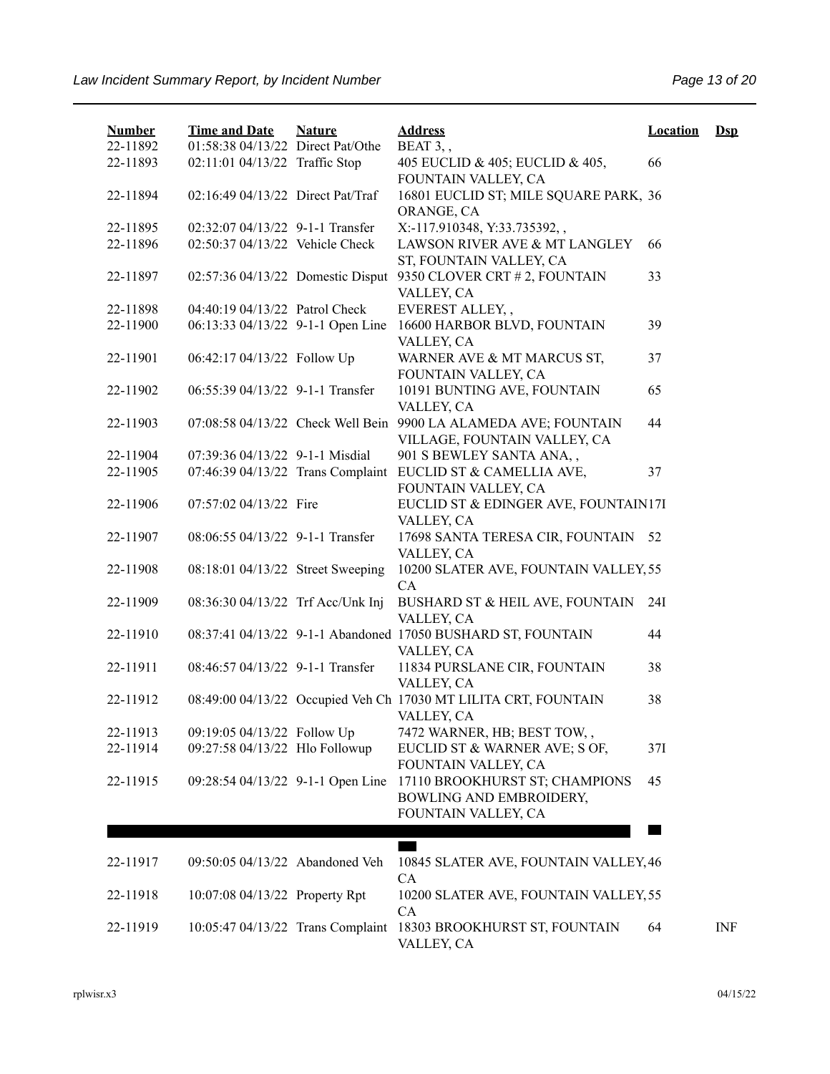| <b>Number</b><br>22-11892 | <b>Time and Date</b><br>01:58:38 04/13/22 Direct Pat/Othe           | <b>Nature</b> | <b>Address</b><br>BEAT 3,,                                                       | <b>Location</b> | $Ds$ |
|---------------------------|---------------------------------------------------------------------|---------------|----------------------------------------------------------------------------------|-----------------|------|
| 22-11893                  | 02:11:01 04/13/22 Traffic Stop                                      |               | 405 EUCLID & 405; EUCLID & 405,                                                  | 66              |      |
| 22-11894                  | 02:16:49 04/13/22 Direct Pat/Traf                                   |               | FOUNTAIN VALLEY, CA<br>16801 EUCLID ST; MILE SQUARE PARK, 36<br>ORANGE, CA       |                 |      |
| 22-11895<br>22-11896      | 02:32:07 04/13/22 9-1-1 Transfer<br>02:50:37 04/13/22 Vehicle Check |               | X:-117.910348, Y:33.735392,,<br>LAWSON RIVER AVE & MT LANGLEY                    | 66              |      |
| 22-11897                  | 02:57:36 04/13/22 Domestic Disput                                   |               | ST, FOUNTAIN VALLEY, CA<br>9350 CLOVER CRT # 2, FOUNTAIN<br>VALLEY, CA           | 33              |      |
| 22-11898                  | 04:40:19 04/13/22 Patrol Check                                      |               | EVEREST ALLEY, ,                                                                 |                 |      |
| 22-11900                  | 06:13:33 04/13/22 9-1-1 Open Line                                   |               | 16600 HARBOR BLVD, FOUNTAIN<br>VALLEY, CA                                        | 39              |      |
| 22-11901                  | 06:42:17 04/13/22 Follow Up                                         |               | WARNER AVE & MT MARCUS ST,<br>FOUNTAIN VALLEY, CA                                | 37              |      |
| 22-11902                  | 06:55:39 04/13/22 9-1-1 Transfer                                    |               | 10191 BUNTING AVE, FOUNTAIN<br>VALLEY, CA                                        | 65              |      |
| 22-11903                  | 07:08:58 04/13/22 Check Well Bein                                   |               | 9900 LA ALAMEDA AVE; FOUNTAIN<br>VILLAGE, FOUNTAIN VALLEY, CA                    | 44              |      |
| 22-11904                  | 07:39:36 04/13/22 9-1-1 Misdial                                     |               | 901 S BEWLEY SANTA ANA,,                                                         |                 |      |
| 22-11905                  | 07:46:39 04/13/22 Trans Complaint                                   |               | EUCLID ST & CAMELLIA AVE,<br>FOUNTAIN VALLEY, CA                                 | 37              |      |
| 22-11906                  | 07:57:02 04/13/22 Fire                                              |               | EUCLID ST & EDINGER AVE, FOUNTAIN17I<br>VALLEY, CA                               |                 |      |
| 22-11907                  | 08:06:55 04/13/22 9-1-1 Transfer                                    |               | 17698 SANTA TERESA CIR, FOUNTAIN<br>VALLEY, CA                                   | 52              |      |
| 22-11908                  | 08:18:01 04/13/22 Street Sweeping                                   |               | 10200 SLATER AVE, FOUNTAIN VALLEY, 55<br>CA                                      |                 |      |
| 22-11909                  | 08:36:30 04/13/22 Trf Acc/Unk Inj                                   |               | BUSHARD ST & HEIL AVE, FOUNTAIN<br>VALLEY, CA                                    | 24I             |      |
| 22-11910                  |                                                                     |               | 08:37:41 04/13/22 9-1-1 Abandoned 17050 BUSHARD ST, FOUNTAIN<br>VALLEY, CA       | 44              |      |
| 22-11911                  | 08:46:57 04/13/22 9-1-1 Transfer                                    |               | 11834 PURSLANE CIR, FOUNTAIN<br>VALLEY, CA                                       | 38              |      |
| 22-11912                  |                                                                     |               | 08:49:00 04/13/22 Occupied Veh Ch 17030 MT LILITA CRT, FOUNTAIN<br>VALLEY, CA    | 38              |      |
| 22-11913                  | 09:19:05 04/13/22 Follow Up                                         |               | 7472 WARNER, HB; BEST TOW,,                                                      |                 |      |
| 22-11914                  | 09:27:58 04/13/22 Hlo Followup                                      |               | EUCLID ST & WARNER AVE; S OF,<br>FOUNTAIN VALLEY, CA                             | 37I             |      |
| 22-11915                  | 09:28:54 04/13/22 9-1-1 Open Line                                   |               | 17110 BROOKHURST ST; CHAMPIONS<br>BOWLING AND EMBROIDERY,<br>FOUNTAIN VALLEY, CA | 45              |      |
|                           |                                                                     |               |                                                                                  |                 |      |
| 22-11917                  | 09:50:05 04/13/22 Abandoned Veh                                     |               | 10845 SLATER AVE, FOUNTAIN VALLEY, 46                                            |                 |      |
| 22-11918                  | 10:07:08 04/13/22 Property Rpt                                      |               | CA<br>10200 SLATER AVE, FOUNTAIN VALLEY, 55                                      |                 |      |
| 22-11919                  | 10:05:47 04/13/22 Trans Complaint                                   |               | CA<br>18303 BROOKHURST ST, FOUNTAIN<br>VALLEY, CA                                | 64              | INF  |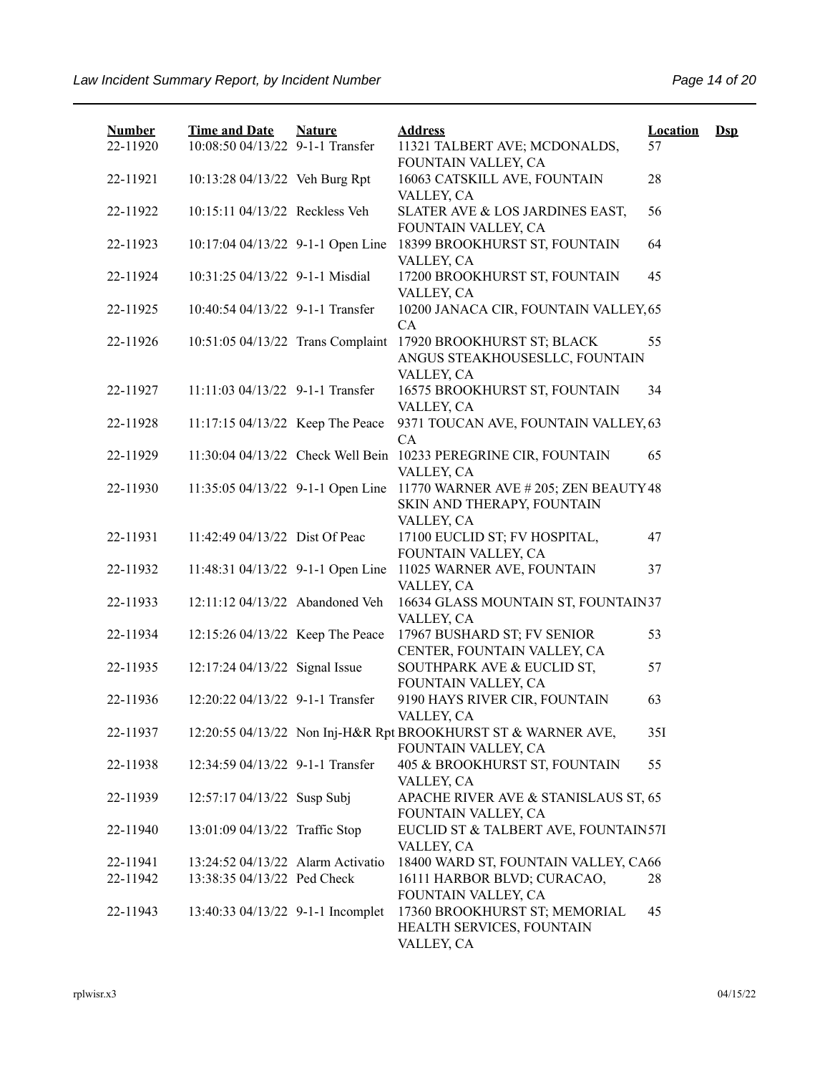| <b>Number</b> | <b>Time and Date</b>              | <b>Nature</b> | <b>Address</b>                                                                | <b>Location</b> | $\mathbf{Dsp}$ |
|---------------|-----------------------------------|---------------|-------------------------------------------------------------------------------|-----------------|----------------|
| 22-11920      | 10:08:50 04/13/22 9-1-1 Transfer  |               | 11321 TALBERT AVE; MCDONALDS,<br>FOUNTAIN VALLEY, CA                          | 57              |                |
| 22-11921      | 10:13:28 04/13/22 Veh Burg Rpt    |               | 16063 CATSKILL AVE, FOUNTAIN<br>VALLEY, CA                                    | 28              |                |
| 22-11922      | 10:15:11 04/13/22 Reckless Veh    |               | SLATER AVE & LOS JARDINES EAST,<br>FOUNTAIN VALLEY, CA                        | 56              |                |
| 22-11923      | 10:17:04 04/13/22 9-1-1 Open Line |               | 18399 BROOKHURST ST, FOUNTAIN<br>VALLEY, CA                                   | 64              |                |
| 22-11924      | 10:31:25 04/13/22 9-1-1 Misdial   |               | 17200 BROOKHURST ST, FOUNTAIN<br>VALLEY, CA                                   | 45              |                |
| 22-11925      | 10:40:54 04/13/22 9-1-1 Transfer  |               | 10200 JANACA CIR, FOUNTAIN VALLEY, 65<br>CA                                   |                 |                |
| 22-11926      | 10:51:05 04/13/22 Trans Complaint |               | 17920 BROOKHURST ST; BLACK<br>ANGUS STEAKHOUSESLLC, FOUNTAIN<br>VALLEY, CA    | 55              |                |
| 22-11927      | 11:11:03 04/13/22 9-1-1 Transfer  |               | 16575 BROOKHURST ST, FOUNTAIN<br>VALLEY, CA                                   | 34              |                |
| 22-11928      | 11:17:15 04/13/22 Keep The Peace  |               | 9371 TOUCAN AVE, FOUNTAIN VALLEY, 63<br>CA                                    |                 |                |
| 22-11929      |                                   |               | 11:30:04 04/13/22 Check Well Bein 10233 PEREGRINE CIR, FOUNTAIN<br>VALLEY, CA | 65              |                |
| 22-11930      | 11:35:05 04/13/22 9-1-1 Open Line |               | 11770 WARNER AVE # 205; ZEN BEAUTY 48<br>SKIN AND THERAPY, FOUNTAIN           |                 |                |
| 22-11931      | 11:42:49 04/13/22 Dist Of Peac    |               | VALLEY, CA<br>17100 EUCLID ST; FV HOSPITAL,<br>FOUNTAIN VALLEY, CA            | 47              |                |
| 22-11932      | 11:48:31 04/13/22 9-1-1 Open Line |               | 11025 WARNER AVE, FOUNTAIN<br>VALLEY, CA                                      | 37              |                |
| 22-11933      | 12:11:12 04/13/22 Abandoned Veh   |               | 16634 GLASS MOUNTAIN ST, FOUNTAIN37<br>VALLEY, CA                             |                 |                |
| 22-11934      | 12:15:26 04/13/22 Keep The Peace  |               | 17967 BUSHARD ST; FV SENIOR<br>CENTER, FOUNTAIN VALLEY, CA                    | 53              |                |
| 22-11935      | 12:17:24 04/13/22 Signal Issue    |               | SOUTHPARK AVE & EUCLID ST,<br>FOUNTAIN VALLEY, CA                             | 57              |                |
| 22-11936      | 12:20:22 04/13/22 9-1-1 Transfer  |               | 9190 HAYS RIVER CIR, FOUNTAIN                                                 | 63              |                |
| 22-11937      |                                   |               | VALLEY, CA<br>12:20:55 04/13/22 Non Inj-H&R Rpt BROOKHURST ST & WARNER AVE,   | 35I             |                |
| 22-11938      | 12:34:59 04/13/22 9-1-1 Transfer  |               | FOUNTAIN VALLEY, CA<br>405 & BROOKHURST ST, FOUNTAIN                          | 55              |                |
| 22-11939      | 12:57:17 04/13/22 Susp Subj       |               | VALLEY, CA<br>APACHE RIVER AVE & STANISLAUS ST, 65                            |                 |                |
| 22-11940      | 13:01:09 04/13/22 Traffic Stop    |               | FOUNTAIN VALLEY, CA<br>EUCLID ST & TALBERT AVE, FOUNTAIN57I<br>VALLEY, CA     |                 |                |
| 22-11941      | 13:24:52 04/13/22 Alarm Activatio |               | 18400 WARD ST, FOUNTAIN VALLEY, CA66                                          |                 |                |
| 22-11942      | 13:38:35 04/13/22 Ped Check       |               | 16111 HARBOR BLVD; CURACAO,<br>FOUNTAIN VALLEY, CA                            | 28              |                |
| 22-11943      | 13:40:33 04/13/22 9-1-1 Incomplet |               | 17360 BROOKHURST ST; MEMORIAL<br>HEALTH SERVICES, FOUNTAIN<br>VALLEY, CA      | 45              |                |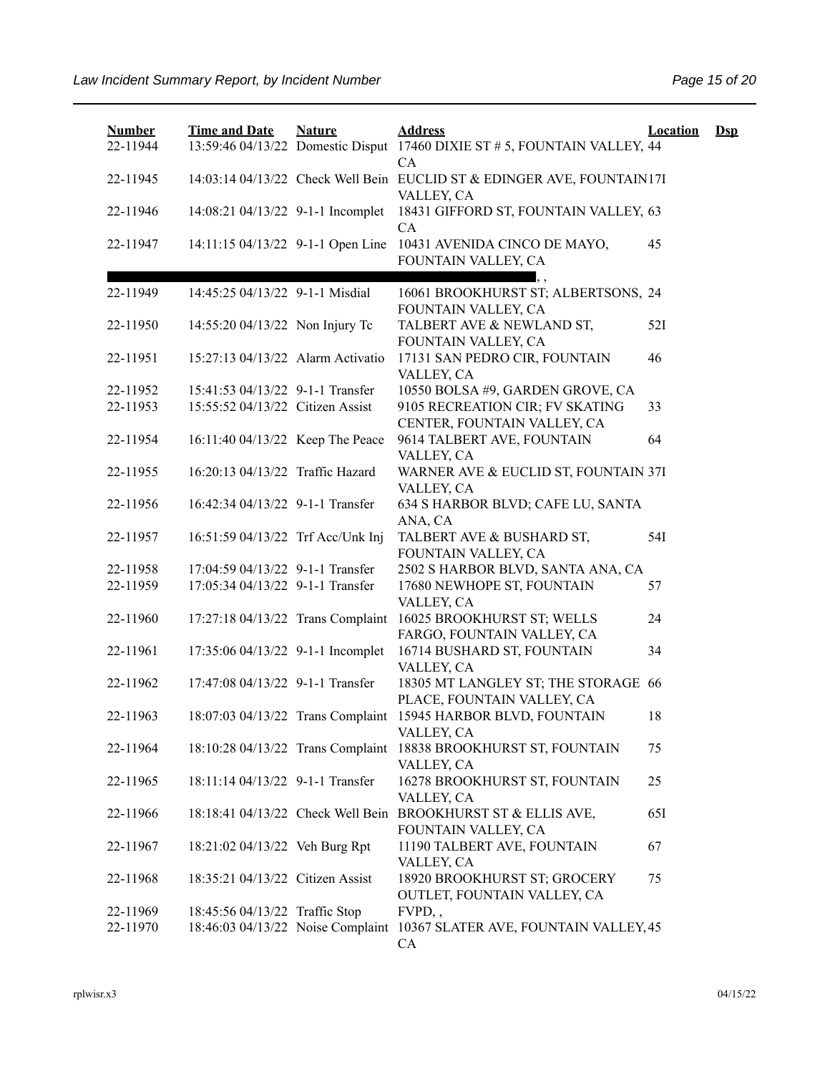| <b>Number</b><br>22-11944 | <b>Time and Date</b>              | <b>Nature</b> | <b>Address</b><br>13:59:46 04/13/22 Domestic Disput 17460 DIXIE ST # 5, FOUNTAIN VALLEY, 44<br>CA | Location | $\mathbf{Dsp}$ |
|---------------------------|-----------------------------------|---------------|---------------------------------------------------------------------------------------------------|----------|----------------|
| 22-11945                  |                                   |               | 14:03:14 04/13/22 Check Well Bein EUCLID ST & EDINGER AVE, FOUNTAIN17I<br>VALLEY, CA              |          |                |
| 22-11946                  | 14:08:21 04/13/22 9-1-1 Incomplet |               | 18431 GIFFORD ST, FOUNTAIN VALLEY, 63<br>CA                                                       |          |                |
| 22-11947                  | 14:11:15 04/13/22 9-1-1 Open Line |               | 10431 AVENIDA CINCO DE MAYO,<br>FOUNTAIN VALLEY, CA                                               | 45       |                |
| 22-11949                  | 14:45:25 04/13/22 9-1-1 Misdial   |               | 16061 BROOKHURST ST; ALBERTSONS, 24<br>FOUNTAIN VALLEY, CA                                        |          |                |
| 22-11950                  | 14:55:20 04/13/22 Non Injury Tc   |               | TALBERT AVE & NEWLAND ST,<br>FOUNTAIN VALLEY, CA                                                  | 52I      |                |
| 22-11951                  | 15:27:13 04/13/22 Alarm Activatio |               | 17131 SAN PEDRO CIR, FOUNTAIN<br>VALLEY, CA                                                       | 46       |                |
| 22-11952                  | 15:41:53 04/13/22 9-1-1 Transfer  |               | 10550 BOLSA #9, GARDEN GROVE, CA                                                                  |          |                |
| 22-11953                  | 15:55:52 04/13/22 Citizen Assist  |               | 9105 RECREATION CIR; FV SKATING<br>CENTER, FOUNTAIN VALLEY, CA                                    | 33       |                |
| 22-11954                  | 16:11:40 04/13/22 Keep The Peace  |               | 9614 TALBERT AVE, FOUNTAIN<br>VALLEY, CA                                                          | 64       |                |
| 22-11955                  | 16:20:13 04/13/22 Traffic Hazard  |               | WARNER AVE & EUCLID ST, FOUNTAIN 37I<br>VALLEY, CA                                                |          |                |
| 22-11956                  | 16:42:34 04/13/22 9-1-1 Transfer  |               | 634 S HARBOR BLVD; CAFE LU, SANTA<br>ANA, CA                                                      |          |                |
| 22-11957                  | 16:51:59 04/13/22 Trf Acc/Unk Inj |               | TALBERT AVE & BUSHARD ST,<br>FOUNTAIN VALLEY, CA                                                  | 54I      |                |
| 22-11958                  | 17:04:59 04/13/22 9-1-1 Transfer  |               | 2502 S HARBOR BLVD, SANTA ANA, CA                                                                 |          |                |
| 22-11959                  | 17:05:34 04/13/22 9-1-1 Transfer  |               | 17680 NEWHOPE ST, FOUNTAIN<br>VALLEY, CA                                                          | 57       |                |
| 22-11960                  | 17:27:18 04/13/22 Trans Complaint |               | 16025 BROOKHURST ST; WELLS<br>FARGO, FOUNTAIN VALLEY, CA                                          | 24       |                |
| 22-11961                  | 17:35:06 04/13/22 9-1-1 Incomplet |               | 16714 BUSHARD ST, FOUNTAIN<br>VALLEY, CA                                                          | 34       |                |
| 22-11962                  | 17:47:08 04/13/22 9-1-1 Transfer  |               | 18305 MT LANGLEY ST; THE STORAGE 66<br>PLACE, FOUNTAIN VALLEY, CA                                 |          |                |
| 22-11963                  |                                   |               | 18:07:03 04/13/22 Trans Complaint 15945 HARBOR BLVD, FOUNTAIN<br>VALLEY, CA                       | 18       |                |
| 22-11964                  | 18:10:28 04/13/22 Trans Complaint |               | 18838 BROOKHURST ST, FOUNTAIN<br>VALLEY, CA                                                       | 75       |                |
| 22-11965                  | 18:11:14 04/13/22 9-1-1 Transfer  |               | 16278 BROOKHURST ST, FOUNTAIN<br>VALLEY, CA                                                       | 25       |                |
| 22-11966                  | 18:18:41 04/13/22 Check Well Bein |               | BROOKHURST ST & ELLIS AVE,<br>FOUNTAIN VALLEY, CA                                                 | 651      |                |
| 22-11967                  | 18:21:02 04/13/22 Veh Burg Rpt    |               | 11190 TALBERT AVE, FOUNTAIN<br>VALLEY, CA                                                         | 67       |                |
| 22-11968                  | 18:35:21 04/13/22 Citizen Assist  |               | 18920 BROOKHURST ST; GROCERY<br>OUTLET, FOUNTAIN VALLEY, CA                                       | 75       |                |
| 22-11969                  | 18:45:56 04/13/22 Traffic Stop    |               | $FVPD,$ ,                                                                                         |          |                |
| 22-11970                  | 18:46:03 04/13/22 Noise Complaint |               | 10367 SLATER AVE, FOUNTAIN VALLEY, 45<br>CA                                                       |          |                |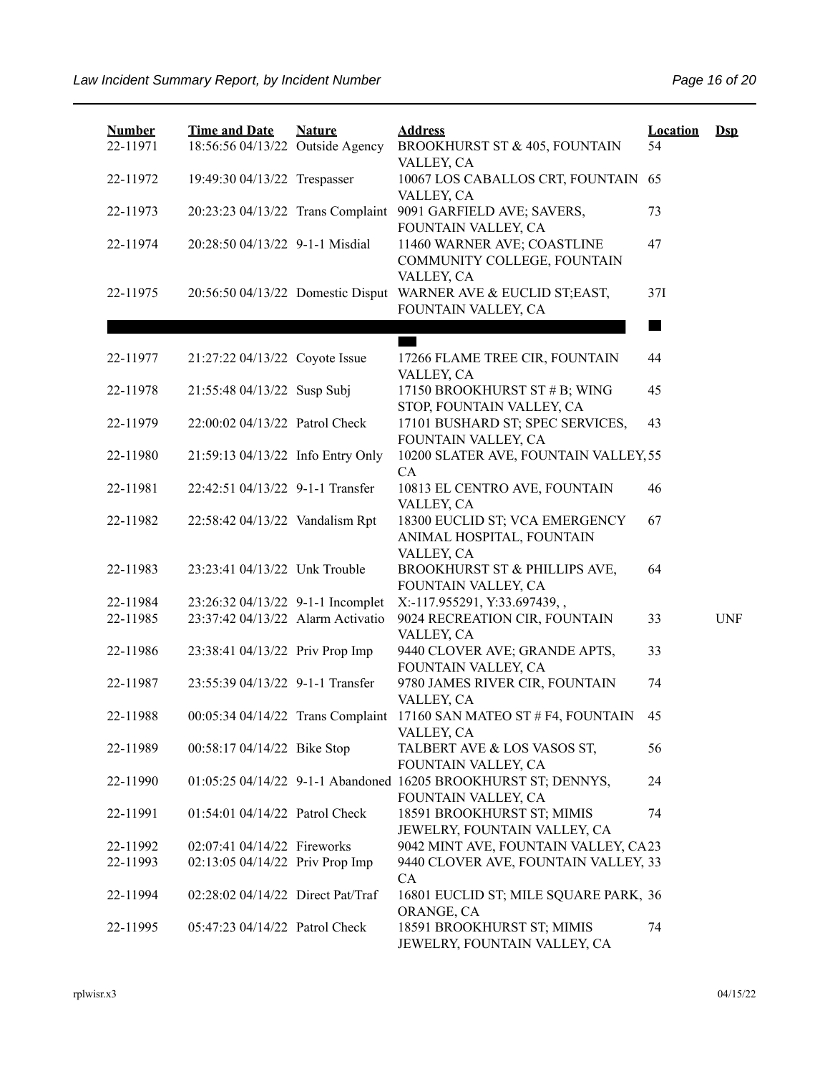| <b>Number</b><br>22-11971 | <b>Time and Date</b><br>18:56:56 04/13/22 Outside Agency | <b>Nature</b> | <b>Address</b><br>BROOKHURST ST & 405, FOUNTAIN                                       | Location<br>54 | $\mathbf{Dsp}$ |
|---------------------------|----------------------------------------------------------|---------------|---------------------------------------------------------------------------------------|----------------|----------------|
|                           |                                                          |               | VALLEY, CA                                                                            |                |                |
| 22-11972                  | 19:49:30 04/13/22 Trespasser                             |               | 10067 LOS CABALLOS CRT, FOUNTAIN<br>VALLEY, CA                                        | 65             |                |
| 22-11973                  | 20:23:23 04/13/22 Trans Complaint                        |               | 9091 GARFIELD AVE; SAVERS,<br>FOUNTAIN VALLEY, CA                                     | 73             |                |
| 22-11974                  | 20:28:50 04/13/22 9-1-1 Misdial                          |               | 11460 WARNER AVE; COASTLINE<br>COMMUNITY COLLEGE, FOUNTAIN                            | 47             |                |
| 22-11975                  | 20:56:50 04/13/22 Domestic Disput                        |               | VALLEY, CA<br>WARNER AVE & EUCLID ST;EAST,<br>FOUNTAIN VALLEY, CA                     | 37I            |                |
|                           |                                                          |               |                                                                                       |                |                |
| 22-11977                  | 21:27:22 04/13/22 Coyote Issue                           |               | 17266 FLAME TREE CIR, FOUNTAIN                                                        | 44             |                |
| 22-11978                  | 21:55:48 04/13/22 Susp Subj                              |               | VALLEY, CA<br>17150 BROOKHURST ST # B; WING<br>STOP, FOUNTAIN VALLEY, CA              | 45             |                |
| 22-11979                  | 22:00:02 04/13/22 Patrol Check                           |               | 17101 BUSHARD ST; SPEC SERVICES,<br>FOUNTAIN VALLEY, CA                               | 43             |                |
| 22-11980                  | 21:59:13 04/13/22 Info Entry Only                        |               | 10200 SLATER AVE, FOUNTAIN VALLEY, 55<br>CA                                           |                |                |
| 22-11981                  | 22:42:51 04/13/22 9-1-1 Transfer                         |               | 10813 EL CENTRO AVE, FOUNTAIN<br>VALLEY, CA                                           | 46             |                |
| 22-11982                  | 22:58:42 04/13/22 Vandalism Rpt                          |               | 18300 EUCLID ST; VCA EMERGENCY<br>ANIMAL HOSPITAL, FOUNTAIN<br>VALLEY, CA             | 67             |                |
| 22-11983                  | 23:23:41 04/13/22 Unk Trouble                            |               | BROOKHURST ST & PHILLIPS AVE,<br>FOUNTAIN VALLEY, CA                                  | 64             |                |
| 22-11984                  | 23:26:32 04/13/22 9-1-1 Incomplet                        |               | X:-117.955291, Y:33.697439,,                                                          |                |                |
| 22-11985                  | 23:37:42 04/13/22 Alarm Activatio                        |               | 9024 RECREATION CIR, FOUNTAIN<br>VALLEY, CA                                           | 33             | <b>UNF</b>     |
| 22-11986                  | 23:38:41 04/13/22 Priv Prop Imp                          |               | 9440 CLOVER AVE; GRANDE APTS,<br>FOUNTAIN VALLEY, CA                                  | 33             |                |
| 22-11987                  | 23:55:39 04/13/22 9-1-1 Transfer                         |               | 9780 JAMES RIVER CIR, FOUNTAIN<br>VALLEY, CA                                          | 74             |                |
| 22-11988                  |                                                          |               | 00:05:34 04/14/22 Trans Complaint 17160 SAN MATEO ST # F4, FOUNTAIN<br>VALLEY, CA     | 45             |                |
| 22-11989                  | 00:58:17 04/14/22 Bike Stop                              |               | TALBERT AVE & LOS VASOS ST,<br>FOUNTAIN VALLEY, CA                                    | 56             |                |
| 22-11990                  |                                                          |               | 01:05:25 04/14/22 9-1-1 Abandoned 16205 BROOKHURST ST; DENNYS,<br>FOUNTAIN VALLEY, CA | 24             |                |
| 22-11991                  | 01:54:01 04/14/22 Patrol Check                           |               | 18591 BROOKHURST ST; MIMIS<br>JEWELRY, FOUNTAIN VALLEY, CA                            | 74             |                |
| 22-11992                  | 02:07:41 04/14/22 Fireworks                              |               | 9042 MINT AVE, FOUNTAIN VALLEY, CA23                                                  |                |                |
| 22-11993                  | 02:13:05 04/14/22 Priv Prop Imp                          |               | 9440 CLOVER AVE, FOUNTAIN VALLEY, 33<br>CA                                            |                |                |
| 22-11994                  | 02:28:02 04/14/22 Direct Pat/Traf                        |               | 16801 EUCLID ST; MILE SQUARE PARK, 36<br>ORANGE, CA                                   |                |                |
| 22-11995                  | 05:47:23 04/14/22 Patrol Check                           |               | 18591 BROOKHURST ST; MIMIS<br>JEWELRY, FOUNTAIN VALLEY, CA                            | 74             |                |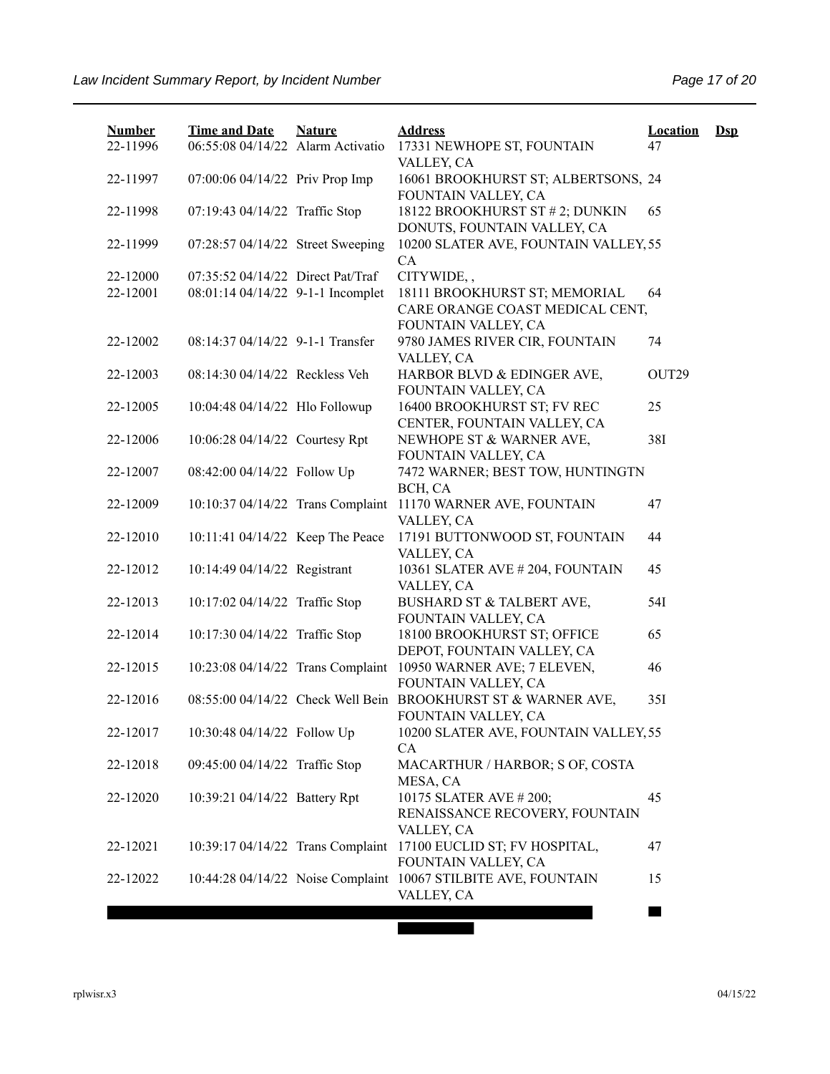| <b>Number</b> | <b>Time and Date</b>              | <b>Nature</b> | <b>Address</b>                                                                          | <b>Location</b> | $\mathbf{Dsp}$ |
|---------------|-----------------------------------|---------------|-----------------------------------------------------------------------------------------|-----------------|----------------|
| 22-11996      | 06:55:08 04/14/22 Alarm Activatio |               | 17331 NEWHOPE ST, FOUNTAIN<br>VALLEY, CA                                                | 47              |                |
| 22-11997      | 07:00:06 04/14/22 Priv Prop Imp   |               | 16061 BROOKHURST ST; ALBERTSONS, 24<br>FOUNTAIN VALLEY, CA                              |                 |                |
| 22-11998      | 07:19:43 04/14/22 Traffic Stop    |               | 18122 BROOKHURST ST # 2; DUNKIN<br>DONUTS, FOUNTAIN VALLEY, CA                          | 65              |                |
| 22-11999      | 07:28:57 04/14/22 Street Sweeping |               | 10200 SLATER AVE, FOUNTAIN VALLEY, 55<br><b>CA</b>                                      |                 |                |
| 22-12000      | 07:35:52 04/14/22 Direct Pat/Traf |               | CITYWIDE,,                                                                              |                 |                |
| 22-12001      | 08:01:14 04/14/22 9-1-1 Incomplet |               | 18111 BROOKHURST ST; MEMORIAL<br>CARE ORANGE COAST MEDICAL CENT,<br>FOUNTAIN VALLEY, CA | 64              |                |
| 22-12002      | 08:14:37 04/14/22 9-1-1 Transfer  |               | 9780 JAMES RIVER CIR, FOUNTAIN<br>VALLEY, CA                                            | 74              |                |
| 22-12003      | 08:14:30 04/14/22 Reckless Veh    |               | HARBOR BLVD & EDINGER AVE,<br>FOUNTAIN VALLEY, CA                                       | OUT29           |                |
| 22-12005      | 10:04:48 04/14/22 Hlo Followup    |               | 16400 BROOKHURST ST; FV REC<br>CENTER, FOUNTAIN VALLEY, CA                              | 25              |                |
| 22-12006      | 10:06:28 04/14/22 Courtesy Rpt    |               | NEWHOPE ST & WARNER AVE,<br>FOUNTAIN VALLEY, CA                                         | 38I             |                |
| 22-12007      | 08:42:00 04/14/22 Follow Up       |               | 7472 WARNER; BEST TOW, HUNTINGTN<br>BCH, CA                                             |                 |                |
| 22-12009      | 10:10:37 04/14/22 Trans Complaint |               | 11170 WARNER AVE, FOUNTAIN<br>VALLEY, CA                                                | 47              |                |
| 22-12010      | 10:11:41 04/14/22 Keep The Peace  |               | 17191 BUTTONWOOD ST, FOUNTAIN<br>VALLEY, CA                                             | 44              |                |
| 22-12012      | 10:14:49 04/14/22 Registrant      |               | 10361 SLATER AVE #204, FOUNTAIN<br>VALLEY, CA                                           | 45              |                |
| 22-12013      | 10:17:02 04/14/22 Traffic Stop    |               | BUSHARD ST & TALBERT AVE,<br>FOUNTAIN VALLEY, CA                                        | 54I             |                |
| 22-12014      | 10:17:30 04/14/22 Traffic Stop    |               | 18100 BROOKHURST ST; OFFICE<br>DEPOT, FOUNTAIN VALLEY, CA                               | 65              |                |
| 22-12015      | 10:23:08 04/14/22 Trans Complaint |               | 10950 WARNER AVE; 7 ELEVEN,<br>FOUNTAIN VALLEY, CA                                      | 46              |                |
| 22-12016      |                                   |               | 08:55:00 04/14/22 Check Well Bein BROOKHURST ST & WARNER AVE,<br>FOUNTAIN VALLEY, CA    | 35I             |                |
| 22-12017      | 10:30:48 04/14/22 Follow Up       |               | 10200 SLATER AVE, FOUNTAIN VALLEY, 55<br>CA                                             |                 |                |
| 22-12018      | 09:45:00 04/14/22 Traffic Stop    |               | MACARTHUR / HARBOR; S OF, COSTA<br>MESA, CA                                             |                 |                |
| 22-12020      | 10:39:21 04/14/22 Battery Rpt     |               | 10175 SLATER AVE #200;<br>RENAISSANCE RECOVERY, FOUNTAIN<br>VALLEY, CA                  | 45              |                |
| 22-12021      | 10:39:17 04/14/22 Trans Complaint |               | 17100 EUCLID ST; FV HOSPITAL,<br>FOUNTAIN VALLEY, CA                                    | 47              |                |
| 22-12022      |                                   |               | 10:44:28 04/14/22 Noise Complaint 10067 STILBITE AVE, FOUNTAIN<br>VALLEY, CA            | 15              |                |
|               |                                   |               |                                                                                         |                 |                |

ī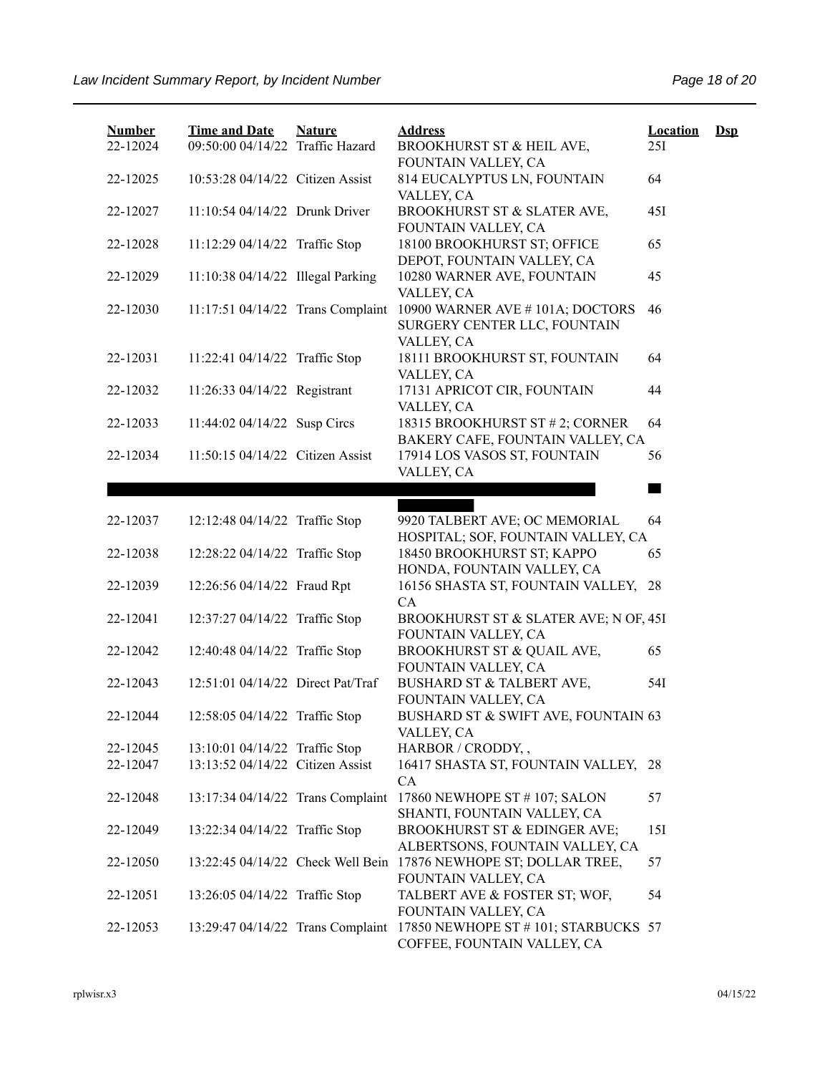| <b>Number</b> | <b>Time and Date</b>              | <b>Nature</b> | <b>Address</b>                                                        | Location | $\mathbf{Dsp}$ |
|---------------|-----------------------------------|---------------|-----------------------------------------------------------------------|----------|----------------|
| 22-12024      | 09:50:00 04/14/22 Traffic Hazard  |               | BROOKHURST ST & HEIL AVE,<br>FOUNTAIN VALLEY, CA                      | 25I      |                |
| 22-12025      | 10:53:28 04/14/22 Citizen Assist  |               | 814 EUCALYPTUS LN, FOUNTAIN                                           | 64       |                |
|               |                                   |               | VALLEY, CA                                                            |          |                |
| 22-12027      | 11:10:54 04/14/22 Drunk Driver    |               | BROOKHURST ST & SLATER AVE,                                           | 45I      |                |
| 22-12028      | 11:12:29 04/14/22 Traffic Stop    |               | FOUNTAIN VALLEY, CA<br>18100 BROOKHURST ST; OFFICE                    | 65       |                |
|               |                                   |               | DEPOT, FOUNTAIN VALLEY, CA                                            |          |                |
| 22-12029      | 11:10:38 04/14/22 Illegal Parking |               | 10280 WARNER AVE, FOUNTAIN                                            | 45       |                |
|               |                                   |               | VALLEY, CA                                                            |          |                |
| 22-12030      | 11:17:51 04/14/22 Trans Complaint |               | 10900 WARNER AVE #101A; DOCTORS                                       | 46       |                |
|               |                                   |               | SURGERY CENTER LLC, FOUNTAIN<br>VALLEY, CA                            |          |                |
| 22-12031      | 11:22:41 04/14/22 Traffic Stop    |               | 18111 BROOKHURST ST, FOUNTAIN                                         | 64       |                |
|               |                                   |               | VALLEY, CA                                                            |          |                |
| 22-12032      | 11:26:33 04/14/22 Registrant      |               | 17131 APRICOT CIR, FOUNTAIN                                           | 44       |                |
| 22-12033      | 11:44:02 04/14/22 Susp Circs      |               | VALLEY, CA<br>18315 BROOKHURST ST # 2; CORNER                         | 64       |                |
|               |                                   |               | BAKERY CAFE, FOUNTAIN VALLEY, CA                                      |          |                |
| 22-12034      | 11:50:15 04/14/22 Citizen Assist  |               | 17914 LOS VASOS ST, FOUNTAIN                                          | 56       |                |
|               |                                   |               | VALLEY, CA                                                            |          |                |
|               |                                   |               |                                                                       | a sa     |                |
| 22-12037      | 12:12:48 04/14/22 Traffic Stop    |               | 9920 TALBERT AVE; OC MEMORIAL                                         | 64       |                |
|               |                                   |               | HOSPITAL; SOF, FOUNTAIN VALLEY, CA                                    |          |                |
| 22-12038      | 12:28:22 04/14/22 Traffic Stop    |               | 18450 BROOKHURST ST; KAPPO                                            | 65       |                |
|               |                                   |               | HONDA, FOUNTAIN VALLEY, CA                                            |          |                |
| 22-12039      | 12:26:56 04/14/22 Fraud Rpt       |               | 16156 SHASTA ST, FOUNTAIN VALLEY,                                     | 28       |                |
| 22-12041      | 12:37:27 04/14/22 Traffic Stop    |               | CA<br>BROOKHURST ST & SLATER AVE; N OF, 45I                           |          |                |
|               |                                   |               | FOUNTAIN VALLEY, CA                                                   |          |                |
| 22-12042      | 12:40:48 04/14/22 Traffic Stop    |               | BROOKHURST ST & QUAIL AVE,                                            | 65       |                |
|               |                                   |               | FOUNTAIN VALLEY, CA                                                   |          |                |
| 22-12043      | 12:51:01 04/14/22 Direct Pat/Traf |               | BUSHARD ST & TALBERT AVE,<br>FOUNTAIN VALLEY, CA                      | 54I      |                |
| 22-12044      | 12:58:05 04/14/22 Traffic Stop    |               | BUSHARD ST & SWIFT AVE, FOUNTAIN 63                                   |          |                |
|               |                                   |               | VALLEY, CA                                                            |          |                |
| 22-12045      | 13:10:01 04/14/22 Traffic Stop    |               | HARBOR / CRODDY,,                                                     |          |                |
| 22-12047      | 13:13:52 04/14/22 Citizen Assist  |               | 16417 SHASTA ST, FOUNTAIN VALLEY, 28                                  |          |                |
| 22-12048      | 13:17:34 04/14/22 Trans Complaint |               | CA<br>17860 NEWHOPE ST #107; SALON                                    | 57       |                |
|               |                                   |               | SHANTI, FOUNTAIN VALLEY, CA                                           |          |                |
| 22-12049      | 13:22:34 04/14/22 Traffic Stop    |               | BROOKHURST ST & EDINGER AVE;                                          | 151      |                |
|               |                                   |               | ALBERTSONS, FOUNTAIN VALLEY, CA                                       |          |                |
| 22-12050      |                                   |               | 13:22:45 04/14/22 Check Well Bein 17876 NEWHOPE ST; DOLLAR TREE,      | 57       |                |
| 22-12051      | 13:26:05 04/14/22 Traffic Stop    |               | FOUNTAIN VALLEY, CA<br>TALBERT AVE & FOSTER ST; WOF,                  | 54       |                |
|               |                                   |               | FOUNTAIN VALLEY, CA                                                   |          |                |
| 22-12053      |                                   |               | 13:29:47 04/14/22 Trans Complaint 17850 NEWHOPE ST #101; STARBUCKS 57 |          |                |
|               |                                   |               | COFFEE, FOUNTAIN VALLEY, CA                                           |          |                |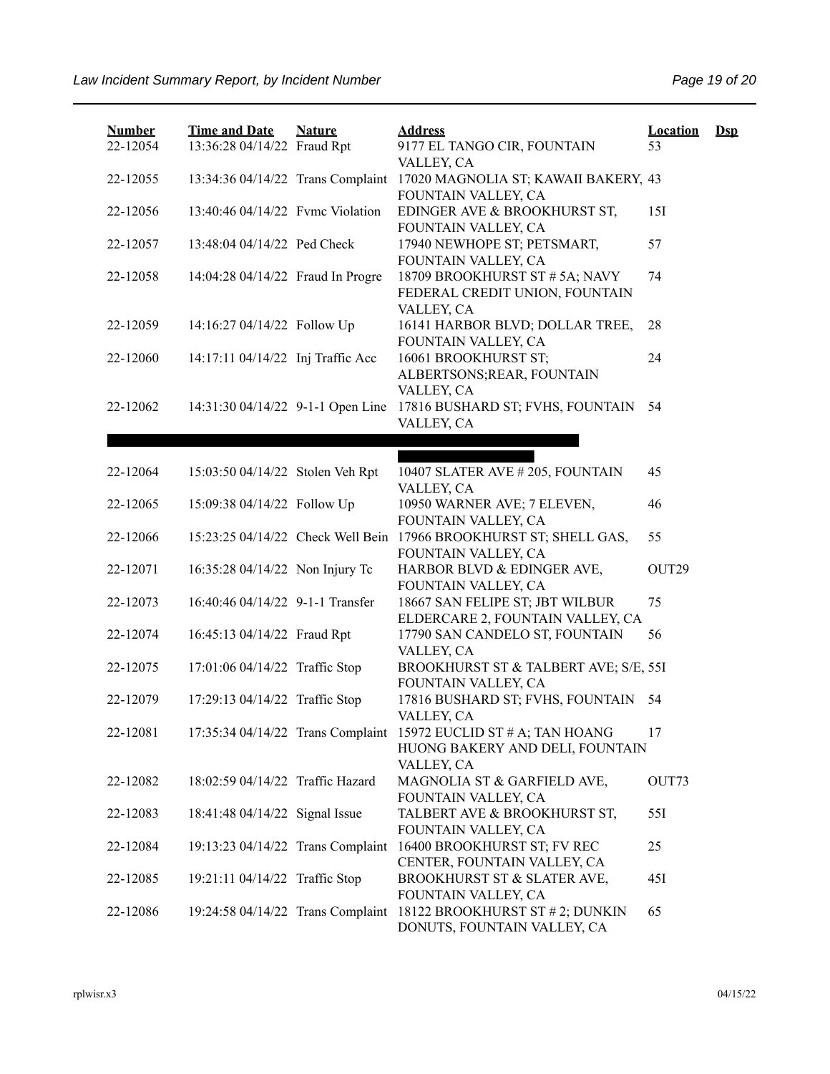| <b>Number</b> | <b>Time and Date</b>              | <b>Nature</b> | <b>Address</b>                                                                                                    | <b>Location</b> | $\mathbf{Dsp}$ |
|---------------|-----------------------------------|---------------|-------------------------------------------------------------------------------------------------------------------|-----------------|----------------|
| 22-12054      | 13:36:28 04/14/22 Fraud Rpt       |               | 9177 EL TANGO CIR, FOUNTAIN<br>VALLEY, CA                                                                         | 53              |                |
| 22-12055      | 13:34:36 04/14/22 Trans Complaint |               | 17020 MAGNOLIA ST; KAWAII BAKERY, 43<br>FOUNTAIN VALLEY, CA                                                       |                 |                |
| 22-12056      | 13:40:46 04/14/22 Fvmc Violation  |               | EDINGER AVE & BROOKHURST ST,<br>FOUNTAIN VALLEY, CA                                                               | 15I             |                |
| 22-12057      | 13:48:04 04/14/22 Ped Check       |               | 17940 NEWHOPE ST; PETSMART,<br>FOUNTAIN VALLEY, CA                                                                | 57              |                |
| 22-12058      | 14:04:28 04/14/22 Fraud In Progre |               | 18709 BROOKHURST ST # 5A; NAVY<br>FEDERAL CREDIT UNION, FOUNTAIN<br>VALLEY, CA                                    | 74              |                |
| 22-12059      | 14:16:27 04/14/22 Follow Up       |               | 16141 HARBOR BLVD; DOLLAR TREE,<br>FOUNTAIN VALLEY, CA                                                            | 28              |                |
| 22-12060      | 14:17:11 04/14/22 Inj Traffic Acc |               | 16061 BROOKHURST ST;<br>ALBERTSONS; REAR, FOUNTAIN<br>VALLEY, CA                                                  | 24              |                |
| 22-12062      | 14:31:30 04/14/22 9-1-1 Open Line |               | 17816 BUSHARD ST; FVHS, FOUNTAIN<br>VALLEY, CA                                                                    | 54              |                |
|               |                                   |               |                                                                                                                   |                 |                |
| 22-12064      | 15:03:50 04/14/22 Stolen Veh Rpt  |               | 10407 SLATER AVE #205, FOUNTAIN<br>VALLEY, CA                                                                     | 45              |                |
| 22-12065      | 15:09:38 04/14/22 Follow Up       |               | 10950 WARNER AVE; 7 ELEVEN,<br>FOUNTAIN VALLEY, CA                                                                | 46              |                |
| 22-12066      | 15:23:25 04/14/22 Check Well Bein |               | 17966 BROOKHURST ST; SHELL GAS,<br>FOUNTAIN VALLEY, CA                                                            | 55              |                |
| 22-12071      | 16:35:28 04/14/22 Non Injury Tc   |               | HARBOR BLVD & EDINGER AVE,<br>FOUNTAIN VALLEY, CA                                                                 | OUT29           |                |
| 22-12073      | 16:40:46 04/14/22 9-1-1 Transfer  |               | 18667 SAN FELIPE ST; JBT WILBUR<br>ELDERCARE 2, FOUNTAIN VALLEY, CA                                               | 75              |                |
| 22-12074      | 16:45:13 04/14/22 Fraud Rpt       |               | 17790 SAN CANDELO ST, FOUNTAIN<br>VALLEY, CA                                                                      | 56              |                |
| 22-12075      | 17:01:06 04/14/22 Traffic Stop    |               | BROOKHURST ST & TALBERT AVE; S/E, 55I<br>FOUNTAIN VALLEY, CA                                                      |                 |                |
| 22-12079      | 17:29:13 04/14/22 Traffic Stop    |               | 17816 BUSHARD ST; FVHS, FOUNTAIN<br>VALLEY, CA                                                                    | 54              |                |
| 22-12081      |                                   |               | 17:35:34 04/14/22 Trans Complaint 15972 EUCLID ST # A; TAN HOANG<br>HUONG BAKERY AND DELI, FOUNTAIN<br>VALLEY, CA | 17              |                |
| 22-12082      | 18:02:59 04/14/22 Traffic Hazard  |               | MAGNOLIA ST & GARFIELD AVE,<br>FOUNTAIN VALLEY, CA                                                                | OUT73           |                |
| 22-12083      | 18:41:48 04/14/22 Signal Issue    |               | TALBERT AVE & BROOKHURST ST,<br>FOUNTAIN VALLEY, CA                                                               | 55I             |                |
| 22-12084      | 19:13:23 04/14/22 Trans Complaint |               | 16400 BROOKHURST ST; FV REC<br>CENTER, FOUNTAIN VALLEY, CA                                                        | 25              |                |
| 22-12085      | 19:21:11 04/14/22 Traffic Stop    |               | BROOKHURST ST & SLATER AVE,<br>FOUNTAIN VALLEY, CA                                                                | 45I             |                |
| 22-12086      | 19:24:58 04/14/22 Trans Complaint |               | 18122 BROOKHURST ST # 2; DUNKIN<br>DONUTS, FOUNTAIN VALLEY, CA                                                    | 65              |                |